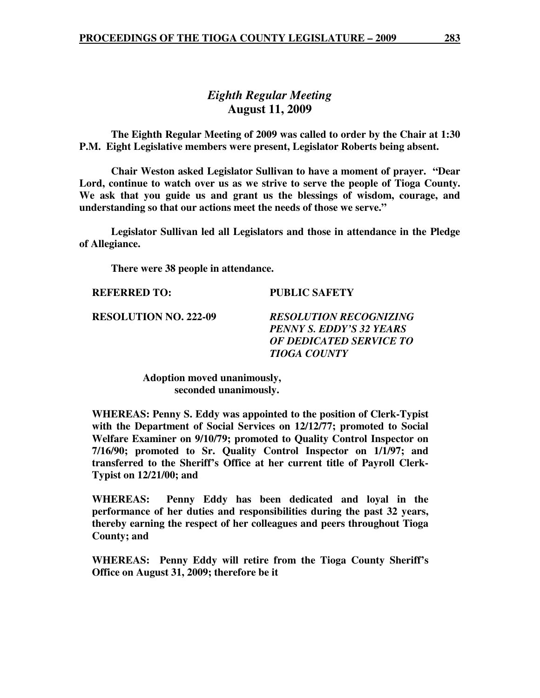### *Eighth Regular Meeting*  **August 11, 2009**

 **The Eighth Regular Meeting of 2009 was called to order by the Chair at 1:30 P.M. Eight Legislative members were present, Legislator Roberts being absent.** 

**Chair Weston asked Legislator Sullivan to have a moment of prayer. "Dear Lord, continue to watch over us as we strive to serve the people of Tioga County. We ask that you guide us and grant us the blessings of wisdom, courage, and understanding so that our actions meet the needs of those we serve."** 

 **Legislator Sullivan led all Legislators and those in attendance in the Pledge of Allegiance.** 

 **There were 38 people in attendance.** 

**REFERRED TO: PUBLIC SAFETY** 

**RESOLUTION NO. 222-09** *RESOLUTION RECOGNIZING PENNY S. EDDY'S 32 YEARS OF DEDICATED SERVICE TO TIOGA COUNTY* 

> **Adoption moved unanimously, seconded unanimously.**

**WHEREAS: Penny S. Eddy was appointed to the position of Clerk-Typist with the Department of Social Services on 12/12/77; promoted to Social Welfare Examiner on 9/10/79; promoted to Quality Control Inspector on 7/16/90; promoted to Sr. Quality Control Inspector on 1/1/97; and transferred to the Sheriff's Office at her current title of Payroll Clerk-Typist on 12/21/00; and** 

**WHEREAS: Penny Eddy has been dedicated and loyal in the performance of her duties and responsibilities during the past 32 years, thereby earning the respect of her colleagues and peers throughout Tioga County; and** 

**WHEREAS: Penny Eddy will retire from the Tioga County Sheriff's Office on August 31, 2009; therefore be it**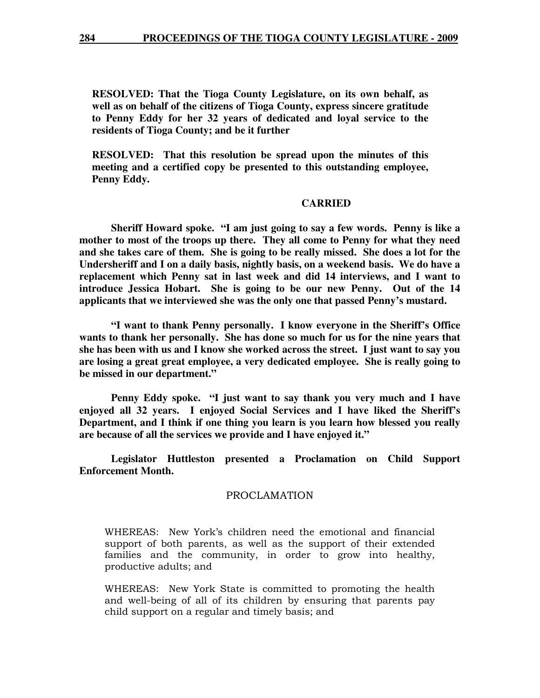**RESOLVED: That the Tioga County Legislature, on its own behalf, as well as on behalf of the citizens of Tioga County, express sincere gratitude to Penny Eddy for her 32 years of dedicated and loyal service to the residents of Tioga County; and be it further** 

**RESOLVED: That this resolution be spread upon the minutes of this meeting and a certified copy be presented to this outstanding employee, Penny Eddy.** 

#### **CARRIED**

 **Sheriff Howard spoke. "I am just going to say a few words. Penny is like a mother to most of the troops up there. They all come to Penny for what they need and she takes care of them. She is going to be really missed. She does a lot for the Undersheriff and I on a daily basis, nightly basis, on a weekend basis. We do have a replacement which Penny sat in last week and did 14 interviews, and I want to introduce Jessica Hobart. She is going to be our new Penny. Out of the 14 applicants that we interviewed she was the only one that passed Penny's mustard.** 

 **"I want to thank Penny personally. I know everyone in the Sheriff's Office wants to thank her personally. She has done so much for us for the nine years that she has been with us and I know she worked across the street. I just want to say you are losing a great great employee, a very dedicated employee. She is really going to be missed in our department."** 

 **Penny Eddy spoke. "I just want to say thank you very much and I have enjoyed all 32 years. I enjoyed Social Services and I have liked the Sheriff's Department, and I think if one thing you learn is you learn how blessed you really are because of all the services we provide and I have enjoyed it."** 

 **Legislator Huttleston presented a Proclamation on Child Support Enforcement Month.** 

#### PROCLAMATION

WHEREAS: New York's children need the emotional and financial support of both parents, as well as the support of their extended families and the community, in order to grow into healthy, productive adults; and

WHEREAS: New York State is committed to promoting the health and well-being of all of its children by ensuring that parents pay child support on a regular and timely basis; and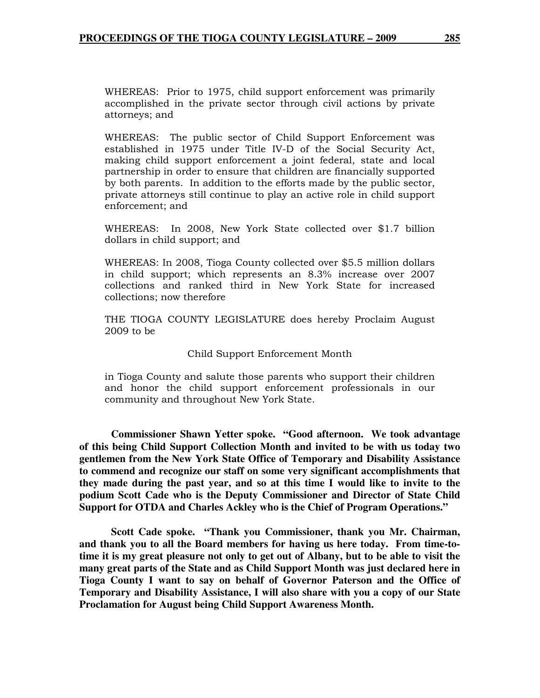WHEREAS: Prior to 1975, child support enforcement was primarily accomplished in the private sector through civil actions by private attorneys; and

WHEREAS: The public sector of Child Support Enforcement was established in 1975 under Title IV-D of the Social Security Act, making child support enforcement a joint federal, state and local partnership in order to ensure that children are financially supported by both parents. In addition to the efforts made by the public sector, private attorneys still continue to play an active role in child support enforcement; and

WHEREAS: In 2008, New York State collected over \$1.7 billion dollars in child support; and

WHEREAS: In 2008, Tioga County collected over \$5.5 million dollars in child support; which represents an 8.3% increase over 2007 collections and ranked third in New York State for increased collections; now therefore

THE TIOGA COUNTY LEGISLATURE does hereby Proclaim August 2009 to be

Child Support Enforcement Month

in Tioga County and salute those parents who support their children and honor the child support enforcement professionals in our community and throughout New York State.

 **Commissioner Shawn Yetter spoke. "Good afternoon. We took advantage of this being Child Support Collection Month and invited to be with us today two gentlemen from the New York State Office of Temporary and Disability Assistance to commend and recognize our staff on some very significant accomplishments that they made during the past year, and so at this time I would like to invite to the podium Scott Cade who is the Deputy Commissioner and Director of State Child Support for OTDA and Charles Ackley who is the Chief of Program Operations."** 

 **Scott Cade spoke. "Thank you Commissioner, thank you Mr. Chairman, and thank you to all the Board members for having us here today. From time-totime it is my great pleasure not only to get out of Albany, but to be able to visit the many great parts of the State and as Child Support Month was just declared here in Tioga County I want to say on behalf of Governor Paterson and the Office of Temporary and Disability Assistance, I will also share with you a copy of our State Proclamation for August being Child Support Awareness Month.**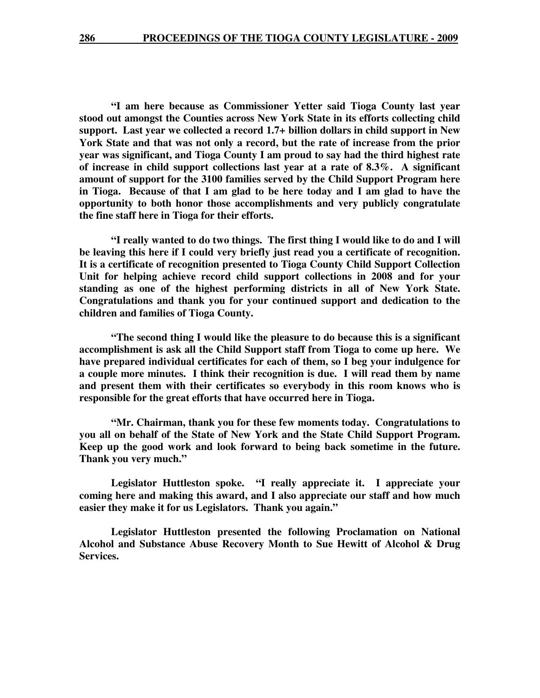**"I am here because as Commissioner Yetter said Tioga County last year stood out amongst the Counties across New York State in its efforts collecting child support. Last year we collected a record 1.7+ billion dollars in child support in New York State and that was not only a record, but the rate of increase from the prior year was significant, and Tioga County I am proud to say had the third highest rate of increase in child support collections last year at a rate of 8.3%. A significant amount of support for the 3100 families served by the Child Support Program here in Tioga. Because of that I am glad to be here today and I am glad to have the opportunity to both honor those accomplishments and very publicly congratulate the fine staff here in Tioga for their efforts.** 

 **"I really wanted to do two things. The first thing I would like to do and I will be leaving this here if I could very briefly just read you a certificate of recognition. It is a certificate of recognition presented to Tioga County Child Support Collection Unit for helping achieve record child support collections in 2008 and for your standing as one of the highest performing districts in all of New York State. Congratulations and thank you for your continued support and dedication to the children and families of Tioga County.** 

 **"The second thing I would like the pleasure to do because this is a significant accomplishment is ask all the Child Support staff from Tioga to come up here. We have prepared individual certificates for each of them, so I beg your indulgence for a couple more minutes. I think their recognition is due. I will read them by name and present them with their certificates so everybody in this room knows who is responsible for the great efforts that have occurred here in Tioga.** 

 **"Mr. Chairman, thank you for these few moments today. Congratulations to you all on behalf of the State of New York and the State Child Support Program. Keep up the good work and look forward to being back sometime in the future. Thank you very much."** 

 **Legislator Huttleston spoke. "I really appreciate it. I appreciate your coming here and making this award, and I also appreciate our staff and how much easier they make it for us Legislators. Thank you again."** 

 **Legislator Huttleston presented the following Proclamation on National Alcohol and Substance Abuse Recovery Month to Sue Hewitt of Alcohol & Drug Services.**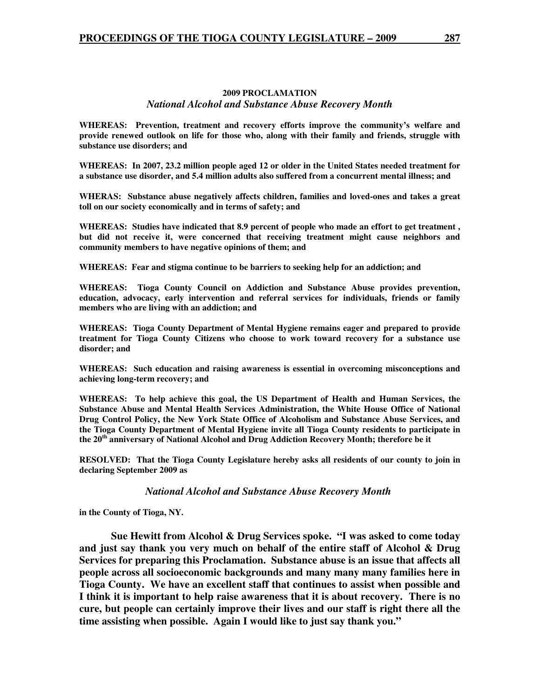#### **2009 PROCLAMATION**  *National Alcohol and Substance Abuse Recovery Month*

**WHEREAS: Prevention, treatment and recovery efforts improve the community's welfare and provide renewed outlook on life for those who, along with their family and friends, struggle with substance use disorders; and** 

**WHEREAS: In 2007, 23.2 million people aged 12 or older in the United States needed treatment for a substance use disorder, and 5.4 million adults also suffered from a concurrent mental illness; and** 

**WHERAS: Substance abuse negatively affects children, families and loved-ones and takes a great toll on our society economically and in terms of safety; and** 

**WHEREAS: Studies have indicated that 8.9 percent of people who made an effort to get treatment , but did not receive it, were concerned that receiving treatment might cause neighbors and community members to have negative opinions of them; and** 

**WHEREAS: Fear and stigma continue to be barriers to seeking help for an addiction; and** 

**WHEREAS: Tioga County Council on Addiction and Substance Abuse provides prevention, education, advocacy, early intervention and referral services for individuals, friends or family members who are living with an addiction; and** 

**WHEREAS: Tioga County Department of Mental Hygiene remains eager and prepared to provide treatment for Tioga County Citizens who choose to work toward recovery for a substance use disorder; and** 

**WHEREAS: Such education and raising awareness is essential in overcoming misconceptions and achieving long-term recovery; and** 

**WHEREAS: To help achieve this goal, the US Department of Health and Human Services, the Substance Abuse and Mental Health Services Administration, the White House Office of National Drug Control Policy, the New York State Office of Alcoholism and Substance Abuse Services, and the Tioga County Department of Mental Hygiene invite all Tioga County residents to participate in the 20th anniversary of National Alcohol and Drug Addiction Recovery Month; therefore be it** 

**RESOLVED: That the Tioga County Legislature hereby asks all residents of our county to join in declaring September 2009 as** 

#### *National Alcohol and Substance Abuse Recovery Month*

**in the County of Tioga, NY.** 

 **Sue Hewitt from Alcohol & Drug Services spoke. "I was asked to come today and just say thank you very much on behalf of the entire staff of Alcohol & Drug Services for preparing this Proclamation. Substance abuse is an issue that affects all people across all socioeconomic backgrounds and many many many families here in Tioga County. We have an excellent staff that continues to assist when possible and I think it is important to help raise awareness that it is about recovery. There is no cure, but people can certainly improve their lives and our staff is right there all the time assisting when possible. Again I would like to just say thank you."**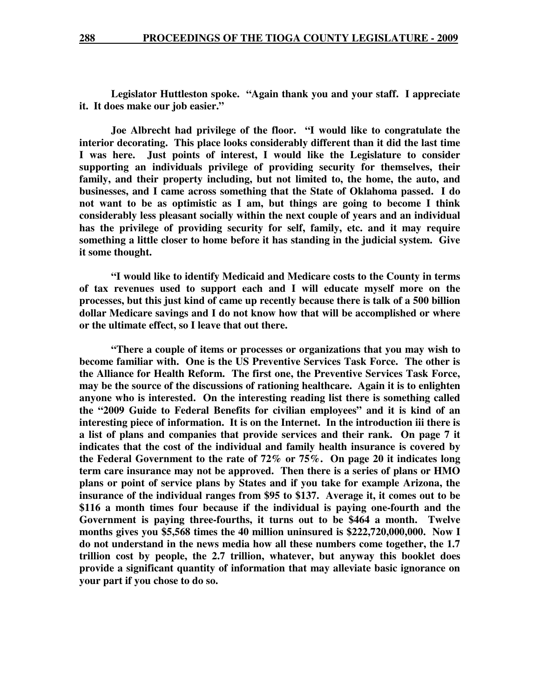**Legislator Huttleston spoke. "Again thank you and your staff. I appreciate it. It does make our job easier."** 

 **Joe Albrecht had privilege of the floor. "I would like to congratulate the interior decorating. This place looks considerably different than it did the last time I was here. Just points of interest, I would like the Legislature to consider supporting an individuals privilege of providing security for themselves, their family, and their property including, but not limited to, the home, the auto, and businesses, and I came across something that the State of Oklahoma passed. I do not want to be as optimistic as I am, but things are going to become I think considerably less pleasant socially within the next couple of years and an individual has the privilege of providing security for self, family, etc. and it may require something a little closer to home before it has standing in the judicial system. Give it some thought.** 

 **"I would like to identify Medicaid and Medicare costs to the County in terms of tax revenues used to support each and I will educate myself more on the processes, but this just kind of came up recently because there is talk of a 500 billion dollar Medicare savings and I do not know how that will be accomplished or where or the ultimate effect, so I leave that out there.** 

 **"There a couple of items or processes or organizations that you may wish to become familiar with. One is the US Preventive Services Task Force. The other is the Alliance for Health Reform. The first one, the Preventive Services Task Force, may be the source of the discussions of rationing healthcare. Again it is to enlighten anyone who is interested. On the interesting reading list there is something called the "2009 Guide to Federal Benefits for civilian employees" and it is kind of an interesting piece of information. It is on the Internet. In the introduction iii there is a list of plans and companies that provide services and their rank. On page 7 it indicates that the cost of the individual and family health insurance is covered by the Federal Government to the rate of 72% or 75%. On page 20 it indicates long term care insurance may not be approved. Then there is a series of plans or HMO plans or point of service plans by States and if you take for example Arizona, the insurance of the individual ranges from \$95 to \$137. Average it, it comes out to be \$116 a month times four because if the individual is paying one-fourth and the Government is paying three-fourths, it turns out to be \$464 a month. Twelve months gives you \$5,568 times the 40 million uninsured is \$222,720,000,000. Now I do not understand in the news media how all these numbers come together, the 1.7 trillion cost by people, the 2.7 trillion, whatever, but anyway this booklet does provide a significant quantity of information that may alleviate basic ignorance on your part if you chose to do so.**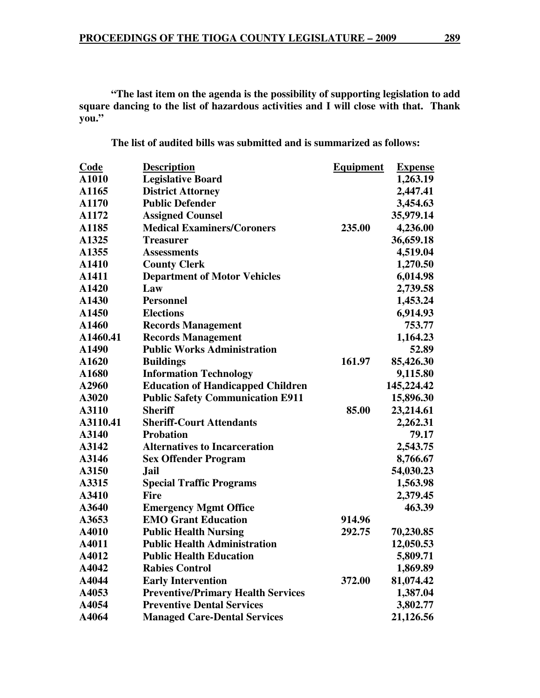**"The last item on the agenda is the possibility of supporting legislation to add square dancing to the list of hazardous activities and I will close with that. Thank you."** 

**The list of audited bills was submitted and is summarized as follows:** 

| Code     | <b>Description</b>                        | <b>Equipment</b> | <b>Expense</b> |
|----------|-------------------------------------------|------------------|----------------|
| A1010    | <b>Legislative Board</b>                  |                  | 1,263.19       |
| A1165    | <b>District Attorney</b>                  |                  | 2,447.41       |
| A1170    | <b>Public Defender</b>                    |                  | 3,454.63       |
| A1172    | <b>Assigned Counsel</b>                   |                  | 35,979.14      |
| A1185    | <b>Medical Examiners/Coroners</b>         | 235.00           | 4,236.00       |
| A1325    | <b>Treasurer</b>                          |                  | 36,659.18      |
| A1355    | <b>Assessments</b>                        |                  | 4,519.04       |
| A1410    | <b>County Clerk</b>                       |                  | 1,270.50       |
| A1411    | <b>Department of Motor Vehicles</b>       |                  | 6,014.98       |
| A1420    | Law                                       |                  | 2,739.58       |
| A1430    | <b>Personnel</b>                          |                  | 1,453.24       |
| A1450    | <b>Elections</b>                          |                  | 6,914.93       |
| A1460    | <b>Records Management</b>                 |                  | 753.77         |
| A1460.41 | <b>Records Management</b>                 |                  | 1,164.23       |
| A1490    | <b>Public Works Administration</b>        |                  | 52.89          |
| A1620    | <b>Buildings</b>                          | 161.97           | 85,426.30      |
| A1680    | <b>Information Technology</b>             |                  | 9,115.80       |
| A2960    | <b>Education of Handicapped Children</b>  |                  | 145,224.42     |
| A3020    | <b>Public Safety Communication E911</b>   |                  | 15,896.30      |
| A3110    | <b>Sheriff</b>                            | 85.00            | 23,214.61      |
| A3110.41 | <b>Sheriff-Court Attendants</b>           |                  | 2,262.31       |
| A3140    | <b>Probation</b>                          |                  | 79.17          |
| A3142    | <b>Alternatives to Incarceration</b>      |                  | 2,543.75       |
| A3146    | <b>Sex Offender Program</b>               |                  | 8,766.67       |
| A3150    | <b>Jail</b>                               |                  | 54,030.23      |
| A3315    | <b>Special Traffic Programs</b>           |                  | 1,563.98       |
| A3410    | <b>Fire</b>                               |                  | 2,379.45       |
| A3640    | <b>Emergency Mgmt Office</b>              |                  | 463.39         |
| A3653    | <b>EMO Grant Education</b>                | 914.96           |                |
| A4010    | <b>Public Health Nursing</b>              | 292.75           | 70,230.85      |
| A4011    | <b>Public Health Administration</b>       |                  | 12,050.53      |
| A4012    | <b>Public Health Education</b>            |                  | 5,809.71       |
| A4042    | <b>Rabies Control</b>                     |                  | 1,869.89       |
| A4044    | <b>Early Intervention</b>                 | 372.00           | 81,074.42      |
| A4053    | <b>Preventive/Primary Health Services</b> |                  | 1,387.04       |
| A4054    | <b>Preventive Dental Services</b>         |                  | 3,802.77       |
| A4064    | <b>Managed Care-Dental Services</b>       |                  | 21,126.56      |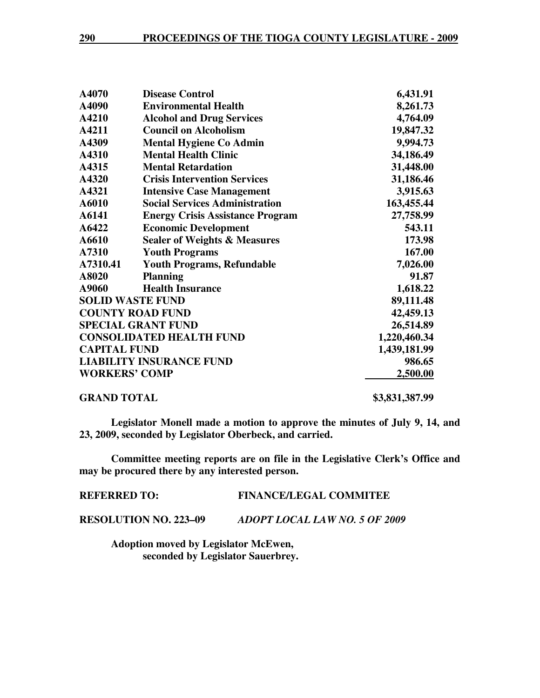| A4070                           | <b>Disease Control</b>                  | 6,431.91     |
|---------------------------------|-----------------------------------------|--------------|
| A4090                           | <b>Environmental Health</b>             | 8,261.73     |
| A4210                           | <b>Alcohol and Drug Services</b>        | 4,764.09     |
| A4211                           | <b>Council on Alcoholism</b>            | 19,847.32    |
| A4309                           | <b>Mental Hygiene Co Admin</b>          | 9,994.73     |
| A4310                           | <b>Mental Health Clinic</b>             | 34,186.49    |
| A4315                           | <b>Mental Retardation</b>               | 31,448.00    |
| A4320                           | <b>Crisis Intervention Services</b>     | 31,186.46    |
| A4321                           | <b>Intensive Case Management</b>        | 3,915.63     |
| A6010                           | <b>Social Services Administration</b>   | 163,455.44   |
| A6141                           | <b>Energy Crisis Assistance Program</b> | 27,758.99    |
| A6422                           | <b>Economic Development</b>             | 543.11       |
| A6610                           | <b>Sealer of Weights &amp; Measures</b> | 173.98       |
| A7310                           | <b>Youth Programs</b>                   | 167.00       |
| A7310.41                        | <b>Youth Programs, Refundable</b>       | 7,026.00     |
| A8020                           | <b>Planning</b>                         | 91.87        |
| A9060                           | <b>Health Insurance</b>                 | 1,618.22     |
| <b>SOLID WASTE FUND</b>         |                                         | 89,111.48    |
|                                 | <b>COUNTY ROAD FUND</b>                 | 42,459.13    |
|                                 | <b>SPECIAL GRANT FUND</b>               | 26,514.89    |
| <b>CONSOLIDATED HEALTH FUND</b> |                                         | 1,220,460.34 |
| <b>CAPITAL FUND</b>             |                                         | 1,439,181.99 |
|                                 | <b>LIABILITY INSURANCE FUND</b>         | 986.65       |
| <b>WORKERS' COMP</b>            |                                         | 2,500.00     |
|                                 |                                         |              |

**GRAND TOTAL \$3,831,387.99** 

**Legislator Monell made a motion to approve the minutes of July 9, 14, and 23, 2009, seconded by Legislator Oberbeck, and carried.** 

**Committee meeting reports are on file in the Legislative Clerk's Office and may be procured there by any interested person.** 

**REFERRED TO: FINANCE/LEGAL COMMITEE** 

**RESOLUTION NO. 223–09** *ADOPT LOCAL LAW NO. 5 OF 2009*

 **Adoption moved by Legislator McEwen, seconded by Legislator Sauerbrey.**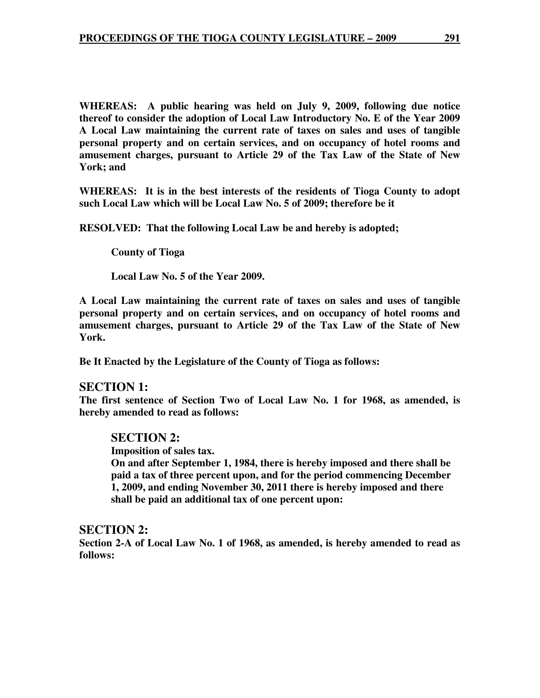**WHEREAS: A public hearing was held on July 9, 2009, following due notice thereof to consider the adoption of Local Law Introductory No. E of the Year 2009 A Local Law maintaining the current rate of taxes on sales and uses of tangible personal property and on certain services, and on occupancy of hotel rooms and amusement charges, pursuant to Article 29 of the Tax Law of the State of New York; and** 

**WHEREAS: It is in the best interests of the residents of Tioga County to adopt such Local Law which will be Local Law No. 5 of 2009; therefore be it** 

**RESOLVED: That the following Local Law be and hereby is adopted;** 

 **County of Tioga** 

 **Local Law No. 5 of the Year 2009.** 

**A Local Law maintaining the current rate of taxes on sales and uses of tangible personal property and on certain services, and on occupancy of hotel rooms and amusement charges, pursuant to Article 29 of the Tax Law of the State of New York.** 

**Be It Enacted by the Legislature of the County of Tioga as follows:** 

#### **SECTION 1:**

**The first sentence of Section Two of Local Law No. 1 for 1968, as amended, is hereby amended to read as follows:** 

### **SECTION 2:**

**Imposition of sales tax.** 

**On and after September 1, 1984, there is hereby imposed and there shall be paid a tax of three percent upon, and for the period commencing December 1, 2009, and ending November 30, 2011 there is hereby imposed and there shall be paid an additional tax of one percent upon:** 

#### **SECTION 2:**

**Section 2-A of Local Law No. 1 of 1968, as amended, is hereby amended to read as follows:**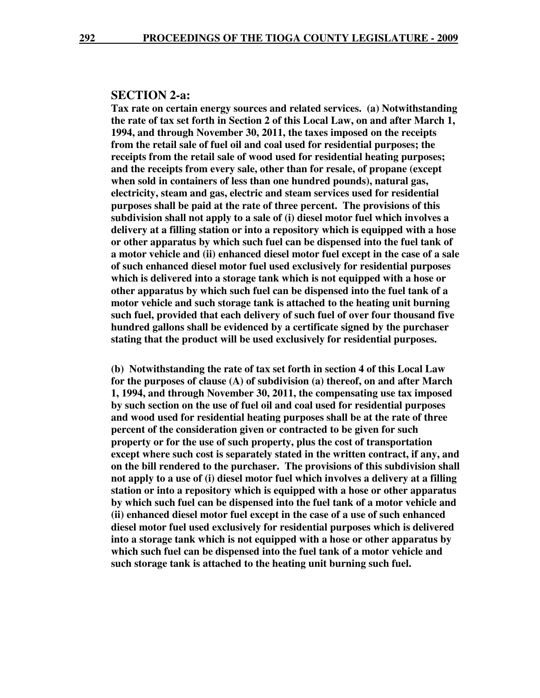#### **SECTION 2-a:**

**Tax rate on certain energy sources and related services. (a) Notwithstanding the rate of tax set forth in Section 2 of this Local Law, on and after March 1, 1994, and through November 30, 2011, the taxes imposed on the receipts from the retail sale of fuel oil and coal used for residential purposes; the receipts from the retail sale of wood used for residential heating purposes; and the receipts from every sale, other than for resale, of propane (except when sold in containers of less than one hundred pounds), natural gas, electricity, steam and gas, electric and steam services used for residential purposes shall be paid at the rate of three percent. The provisions of this subdivision shall not apply to a sale of (i) diesel motor fuel which involves a delivery at a filling station or into a repository which is equipped with a hose or other apparatus by which such fuel can be dispensed into the fuel tank of a motor vehicle and (ii) enhanced diesel motor fuel except in the case of a sale of such enhanced diesel motor fuel used exclusively for residential purposes which is delivered into a storage tank which is not equipped with a hose or other apparatus by which such fuel can be dispensed into the fuel tank of a motor vehicle and such storage tank is attached to the heating unit burning such fuel, provided that each delivery of such fuel of over four thousand five hundred gallons shall be evidenced by a certificate signed by the purchaser stating that the product will be used exclusively for residential purposes.** 

**(b) Notwithstanding the rate of tax set forth in section 4 of this Local Law for the purposes of clause (A) of subdivision (a) thereof, on and after March 1, 1994, and through November 30, 2011, the compensating use tax imposed by such section on the use of fuel oil and coal used for residential purposes and wood used for residential heating purposes shall be at the rate of three percent of the consideration given or contracted to be given for such property or for the use of such property, plus the cost of transportation except where such cost is separately stated in the written contract, if any, and on the bill rendered to the purchaser. The provisions of this subdivision shall not apply to a use of (i) diesel motor fuel which involves a delivery at a filling station or into a repository which is equipped with a hose or other apparatus by which such fuel can be dispensed into the fuel tank of a motor vehicle and (ii) enhanced diesel motor fuel except in the case of a use of such enhanced diesel motor fuel used exclusively for residential purposes which is delivered into a storage tank which is not equipped with a hose or other apparatus by which such fuel can be dispensed into the fuel tank of a motor vehicle and such storage tank is attached to the heating unit burning such fuel.**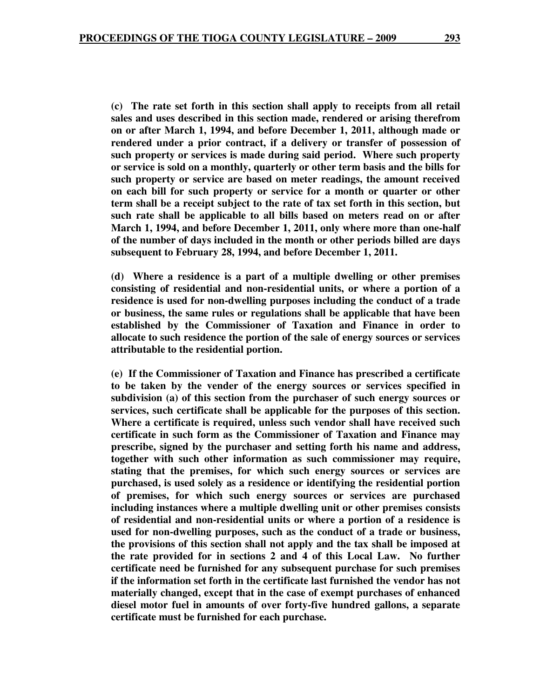**(c) The rate set forth in this section shall apply to receipts from all retail sales and uses described in this section made, rendered or arising therefrom on or after March 1, 1994, and before December 1, 2011, although made or rendered under a prior contract, if a delivery or transfer of possession of such property or services is made during said period. Where such property or service is sold on a monthly, quarterly or other term basis and the bills for such property or service are based on meter readings, the amount received on each bill for such property or service for a month or quarter or other term shall be a receipt subject to the rate of tax set forth in this section, but such rate shall be applicable to all bills based on meters read on or after March 1, 1994, and before December 1, 2011, only where more than one-half of the number of days included in the month or other periods billed are days subsequent to February 28, 1994, and before December 1, 2011.** 

**(d) Where a residence is a part of a multiple dwelling or other premises consisting of residential and non-residential units, or where a portion of a residence is used for non-dwelling purposes including the conduct of a trade or business, the same rules or regulations shall be applicable that have been established by the Commissioner of Taxation and Finance in order to allocate to such residence the portion of the sale of energy sources or services attributable to the residential portion.** 

**(e) If the Commissioner of Taxation and Finance has prescribed a certificate to be taken by the vender of the energy sources or services specified in subdivision (a) of this section from the purchaser of such energy sources or services, such certificate shall be applicable for the purposes of this section. Where a certificate is required, unless such vendor shall have received such certificate in such form as the Commissioner of Taxation and Finance may prescribe, signed by the purchaser and setting forth his name and address, together with such other information as such commissioner may require, stating that the premises, for which such energy sources or services are purchased, is used solely as a residence or identifying the residential portion of premises, for which such energy sources or services are purchased including instances where a multiple dwelling unit or other premises consists of residential and non-residential units or where a portion of a residence is used for non-dwelling purposes, such as the conduct of a trade or business, the provisions of this section shall not apply and the tax shall be imposed at the rate provided for in sections 2 and 4 of this Local Law. No further certificate need be furnished for any subsequent purchase for such premises if the information set forth in the certificate last furnished the vendor has not materially changed, except that in the case of exempt purchases of enhanced diesel motor fuel in amounts of over forty-five hundred gallons, a separate certificate must be furnished for each purchase.**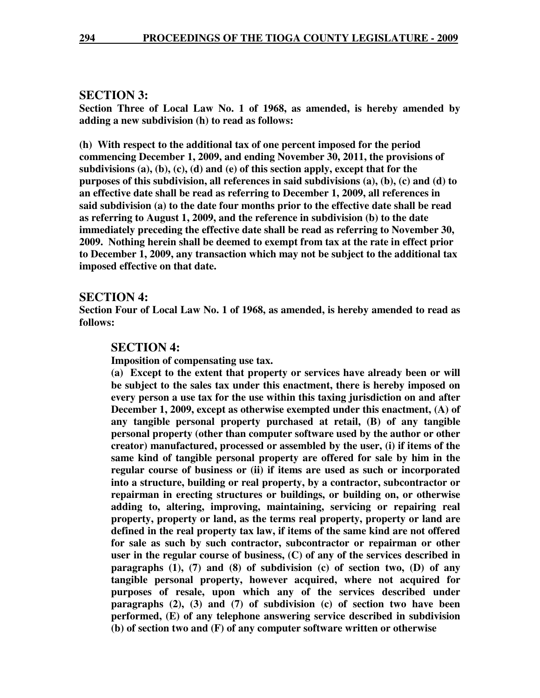#### **SECTION 3:**

**Section Three of Local Law No. 1 of 1968, as amended, is hereby amended by adding a new subdivision (h) to read as follows:** 

**(h) With respect to the additional tax of one percent imposed for the period commencing December 1, 2009, and ending November 30, 2011, the provisions of subdivisions (a), (b), (c), (d) and (e) of this section apply, except that for the purposes of this subdivision, all references in said subdivisions (a), (b), (c) and (d) to an effective date shall be read as referring to December 1, 2009, all references in said subdivision (a) to the date four months prior to the effective date shall be read as referring to August 1, 2009, and the reference in subdivision (b) to the date immediately preceding the effective date shall be read as referring to November 30, 2009. Nothing herein shall be deemed to exempt from tax at the rate in effect prior to December 1, 2009, any transaction which may not be subject to the additional tax imposed effective on that date.** 

#### **SECTION 4:**

**Section Four of Local Law No. 1 of 1968, as amended, is hereby amended to read as follows:** 

#### **SECTION 4:**

**Imposition of compensating use tax.** 

**(a) Except to the extent that property or services have already been or will be subject to the sales tax under this enactment, there is hereby imposed on every person a use tax for the use within this taxing jurisdiction on and after December 1, 2009, except as otherwise exempted under this enactment, (A) of any tangible personal property purchased at retail, (B) of any tangible personal property (other than computer software used by the author or other creator) manufactured, processed or assembled by the user, (i) if items of the same kind of tangible personal property are offered for sale by him in the regular course of business or (ii) if items are used as such or incorporated into a structure, building or real property, by a contractor, subcontractor or repairman in erecting structures or buildings, or building on, or otherwise adding to, altering, improving, maintaining, servicing or repairing real property, property or land, as the terms real property, property or land are defined in the real property tax law, if items of the same kind are not offered for sale as such by such contractor, subcontractor or repairman or other user in the regular course of business, (C) of any of the services described in paragraphs (1), (7) and (8) of subdivision (c) of section two, (D) of any tangible personal property, however acquired, where not acquired for purposes of resale, upon which any of the services described under paragraphs (2), (3) and (7) of subdivision (c) of section two have been performed, (E) of any telephone answering service described in subdivision (b) of section two and (F) of any computer software written or otherwise**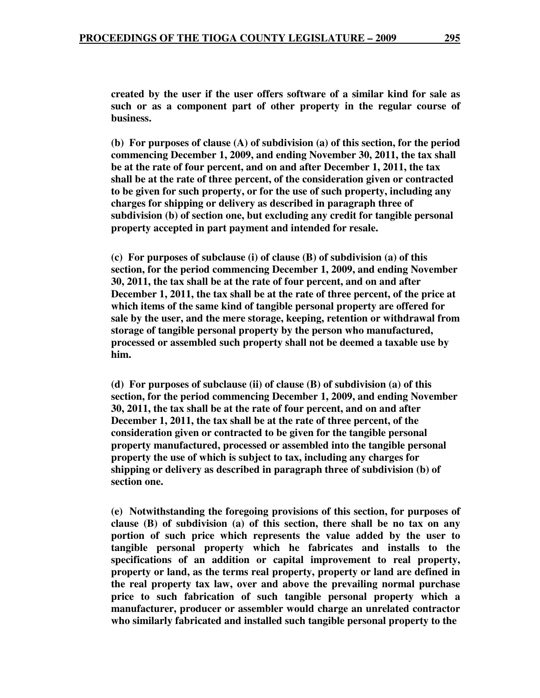**created by the user if the user offers software of a similar kind for sale as such or as a component part of other property in the regular course of business.** 

**(b) For purposes of clause (A) of subdivision (a) of this section, for the period commencing December 1, 2009, and ending November 30, 2011, the tax shall be at the rate of four percent, and on and after December 1, 2011, the tax shall be at the rate of three percent, of the consideration given or contracted to be given for such property, or for the use of such property, including any charges for shipping or delivery as described in paragraph three of subdivision (b) of section one, but excluding any credit for tangible personal property accepted in part payment and intended for resale.** 

**(c) For purposes of subclause (i) of clause (B) of subdivision (a) of this section, for the period commencing December 1, 2009, and ending November 30, 2011, the tax shall be at the rate of four percent, and on and after December 1, 2011, the tax shall be at the rate of three percent, of the price at which items of the same kind of tangible personal property are offered for sale by the user, and the mere storage, keeping, retention or withdrawal from storage of tangible personal property by the person who manufactured, processed or assembled such property shall not be deemed a taxable use by him.** 

**(d) For purposes of subclause (ii) of clause (B) of subdivision (a) of this section, for the period commencing December 1, 2009, and ending November 30, 2011, the tax shall be at the rate of four percent, and on and after December 1, 2011, the tax shall be at the rate of three percent, of the consideration given or contracted to be given for the tangible personal property manufactured, processed or assembled into the tangible personal property the use of which is subject to tax, including any charges for shipping or delivery as described in paragraph three of subdivision (b) of section one.** 

**(e) Notwithstanding the foregoing provisions of this section, for purposes of clause (B) of subdivision (a) of this section, there shall be no tax on any portion of such price which represents the value added by the user to tangible personal property which he fabricates and installs to the specifications of an addition or capital improvement to real property, property or land, as the terms real property, property or land are defined in the real property tax law, over and above the prevailing normal purchase price to such fabrication of such tangible personal property which a manufacturer, producer or assembler would charge an unrelated contractor who similarly fabricated and installed such tangible personal property to the**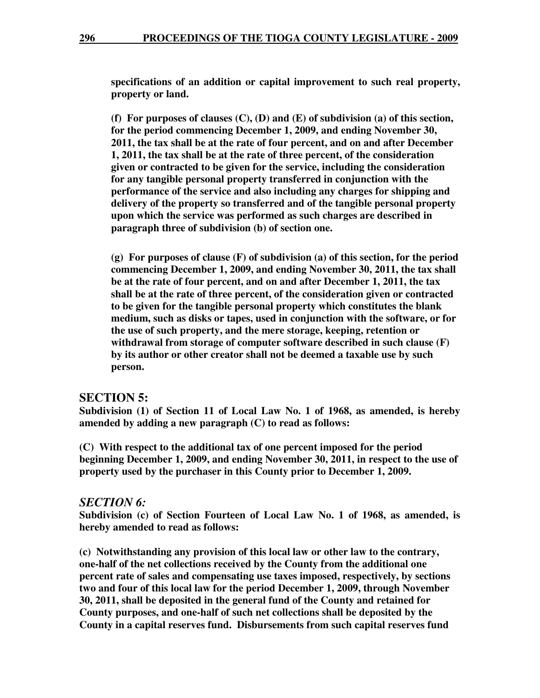**specifications of an addition or capital improvement to such real property, property or land.** 

**(f) For purposes of clauses (C), (D) and (E) of subdivision (a) of this section, for the period commencing December 1, 2009, and ending November 30, 2011, the tax shall be at the rate of four percent, and on and after December 1, 2011, the tax shall be at the rate of three percent, of the consideration given or contracted to be given for the service, including the consideration for any tangible personal property transferred in conjunction with the performance of the service and also including any charges for shipping and delivery of the property so transferred and of the tangible personal property upon which the service was performed as such charges are described in paragraph three of subdivision (b) of section one.** 

**(g) For purposes of clause (F) of subdivision (a) of this section, for the period commencing December 1, 2009, and ending November 30, 2011, the tax shall be at the rate of four percent, and on and after December 1, 2011, the tax shall be at the rate of three percent, of the consideration given or contracted to be given for the tangible personal property which constitutes the blank medium, such as disks or tapes, used in conjunction with the software, or for the use of such property, and the mere storage, keeping, retention or withdrawal from storage of computer software described in such clause (F) by its author or other creator shall not be deemed a taxable use by such person.** 

#### **SECTION 5:**

**Subdivision (1) of Section 11 of Local Law No. 1 of 1968, as amended, is hereby amended by adding a new paragraph (C) to read as follows:** 

**(C) With respect to the additional tax of one percent imposed for the period beginning December 1, 2009, and ending November 30, 2011, in respect to the use of property used by the purchaser in this County prior to December 1, 2009.** 

#### *SECTION 6:*

**Subdivision (c) of Section Fourteen of Local Law No. 1 of 1968, as amended, is hereby amended to read as follows:** 

**(c) Notwithstanding any provision of this local law or other law to the contrary, one-half of the net collections received by the County from the additional one percent rate of sales and compensating use taxes imposed, respectively, by sections two and four of this local law for the period December 1, 2009, through November 30, 2011, shall be deposited in the general fund of the County and retained for County purposes, and one-half of such net collections shall be deposited by the County in a capital reserves fund. Disbursements from such capital reserves fund**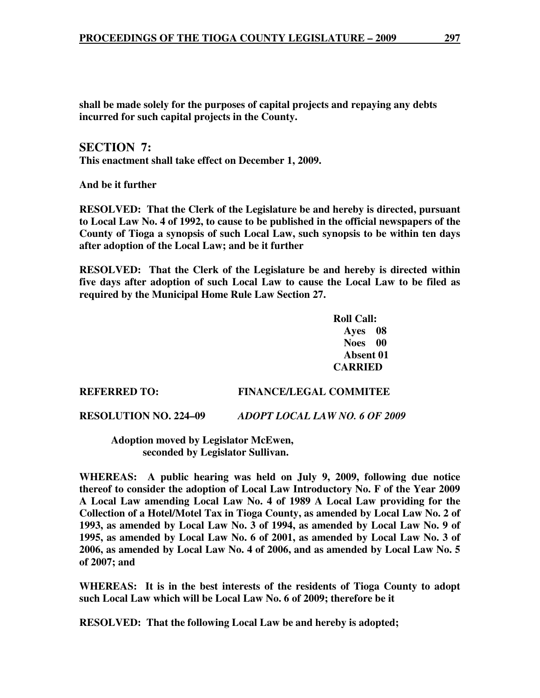**shall be made solely for the purposes of capital projects and repaying any debts incurred for such capital projects in the County.** 

**SECTION 7: This enactment shall take effect on December 1, 2009.** 

**And be it further** 

**RESOLVED: That the Clerk of the Legislature be and hereby is directed, pursuant to Local Law No. 4 of 1992, to cause to be published in the official newspapers of the County of Tioga a synopsis of such Local Law, such synopsis to be within ten days after adoption of the Local Law; and be it further** 

**RESOLVED: That the Clerk of the Legislature be and hereby is directed within five days after adoption of such Local Law to cause the Local Law to be filed as required by the Municipal Home Rule Law Section 27.**

> **Roll Call: Ayes 08 Noes 00 Absent 01 CARRIED**

#### **REFERRED TO: FINANCE/LEGAL COMMITEE**

#### **RESOLUTION NO. 224–09** *ADOPT LOCAL LAW NO. 6 OF 2009*

 **Adoption moved by Legislator McEwen, seconded by Legislator Sullivan.** 

**WHEREAS: A public hearing was held on July 9, 2009, following due notice thereof to consider the adoption of Local Law Introductory No. F of the Year 2009 A Local Law amending Local Law No. 4 of 1989 A Local Law providing for the Collection of a Hotel/Motel Tax in Tioga County, as amended by Local Law No. 2 of 1993, as amended by Local Law No. 3 of 1994, as amended by Local Law No. 9 of 1995, as amended by Local Law No. 6 of 2001, as amended by Local Law No. 3 of 2006, as amended by Local Law No. 4 of 2006, and as amended by Local Law No. 5 of 2007; and** 

**WHEREAS: It is in the best interests of the residents of Tioga County to adopt such Local Law which will be Local Law No. 6 of 2009; therefore be it** 

**RESOLVED: That the following Local Law be and hereby is adopted;**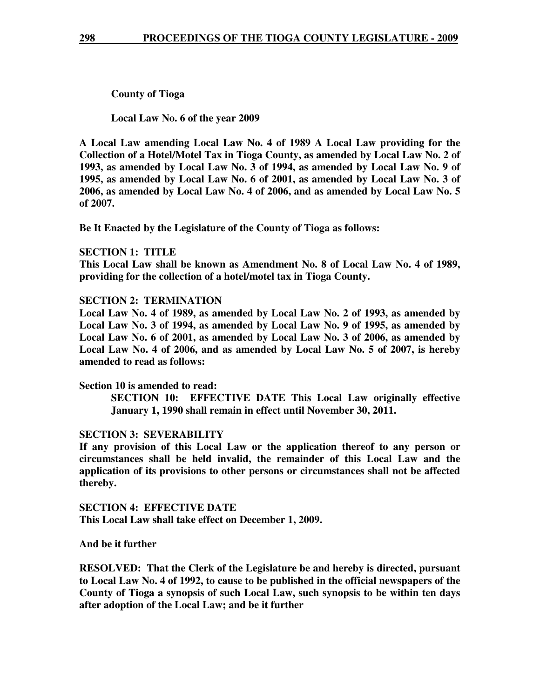**County of Tioga** 

 **Local Law No. 6 of the year 2009** 

**A Local Law amending Local Law No. 4 of 1989 A Local Law providing for the Collection of a Hotel/Motel Tax in Tioga County, as amended by Local Law No. 2 of 1993, as amended by Local Law No. 3 of 1994, as amended by Local Law No. 9 of 1995, as amended by Local Law No. 6 of 2001, as amended by Local Law No. 3 of 2006, as amended by Local Law No. 4 of 2006, and as amended by Local Law No. 5 of 2007.** 

**Be It Enacted by the Legislature of the County of Tioga as follows:** 

#### **SECTION 1: TITLE**

**This Local Law shall be known as Amendment No. 8 of Local Law No. 4 of 1989, providing for the collection of a hotel/motel tax in Tioga County.** 

#### **SECTION 2: TERMINATION**

**Local Law No. 4 of 1989, as amended by Local Law No. 2 of 1993, as amended by Local Law No. 3 of 1994, as amended by Local Law No. 9 of 1995, as amended by Local Law No. 6 of 2001, as amended by Local Law No. 3 of 2006, as amended by Local Law No. 4 of 2006, and as amended by Local Law No. 5 of 2007, is hereby amended to read as follows:** 

#### **Section 10 is amended to read:**

**SECTION 10: EFFECTIVE DATE This Local Law originally effective January 1, 1990 shall remain in effect until November 30, 2011.** 

#### **SECTION 3: SEVERABILITY**

**If any provision of this Local Law or the application thereof to any person or circumstances shall be held invalid, the remainder of this Local Law and the application of its provisions to other persons or circumstances shall not be affected thereby.** 

**SECTION 4: EFFECTIVE DATE This Local Law shall take effect on December 1, 2009.** 

**And be it further** 

**RESOLVED: That the Clerk of the Legislature be and hereby is directed, pursuant to Local Law No. 4 of 1992, to cause to be published in the official newspapers of the County of Tioga a synopsis of such Local Law, such synopsis to be within ten days after adoption of the Local Law; and be it further**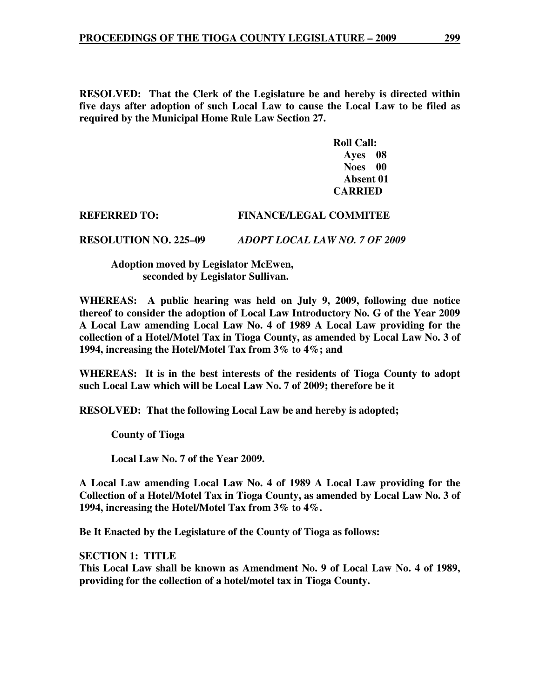**RESOLVED: That the Clerk of the Legislature be and hereby is directed within five days after adoption of such Local Law to cause the Local Law to be filed as required by the Municipal Home Rule Law Section 27.**

> **Roll Call: Ayes 08 Noes 00 Absent 01 CARRIED**

## **REFERRED TO: FINANCE/LEGAL COMMITEE**

**RESOLUTION NO. 225–09** *ADOPT LOCAL LAW NO. 7 OF 2009* 

 **Adoption moved by Legislator McEwen, seconded by Legislator Sullivan.** 

**WHEREAS: A public hearing was held on July 9, 2009, following due notice thereof to consider the adoption of Local Law Introductory No. G of the Year 2009 A Local Law amending Local Law No. 4 of 1989 A Local Law providing for the collection of a Hotel/Motel Tax in Tioga County, as amended by Local Law No. 3 of 1994, increasing the Hotel/Motel Tax from 3% to 4%; and** 

**WHEREAS: It is in the best interests of the residents of Tioga County to adopt such Local Law which will be Local Law No. 7 of 2009; therefore be it** 

**RESOLVED: That the following Local Law be and hereby is adopted;** 

 **County of Tioga** 

 **Local Law No. 7 of the Year 2009.** 

**A Local Law amending Local Law No. 4 of 1989 A Local Law providing for the Collection of a Hotel/Motel Tax in Tioga County, as amended by Local Law No. 3 of 1994, increasing the Hotel/Motel Tax from 3% to 4%.** 

**Be It Enacted by the Legislature of the County of Tioga as follows:** 

**SECTION 1: TITLE This Local Law shall be known as Amendment No. 9 of Local Law No. 4 of 1989, providing for the collection of a hotel/motel tax in Tioga County.**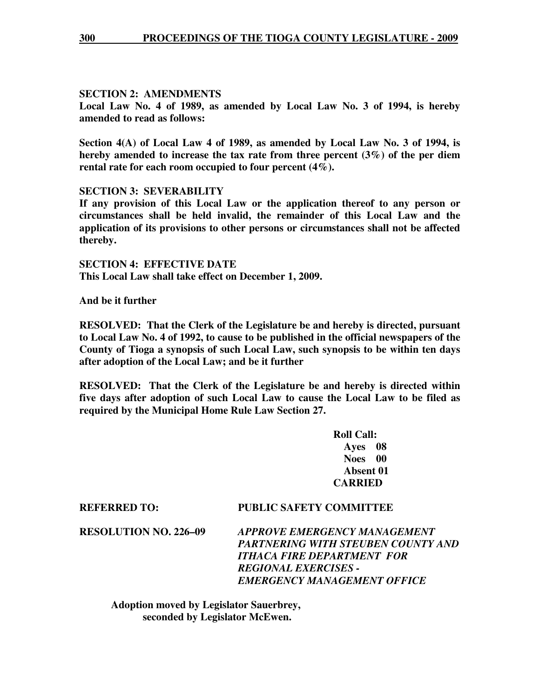#### **SECTION 2: AMENDMENTS**

**Local Law No. 4 of 1989, as amended by Local Law No. 3 of 1994, is hereby amended to read as follows:** 

**Section 4(A) of Local Law 4 of 1989, as amended by Local Law No. 3 of 1994, is hereby amended to increase the tax rate from three percent (3%) of the per diem rental rate for each room occupied to four percent (4%).** 

#### **SECTION 3: SEVERABILITY**

**If any provision of this Local Law or the application thereof to any person or circumstances shall be held invalid, the remainder of this Local Law and the application of its provisions to other persons or circumstances shall not be affected thereby.** 

**SECTION 4: EFFECTIVE DATE This Local Law shall take effect on December 1, 2009.** 

**And be it further** 

**RESOLVED: That the Clerk of the Legislature be and hereby is directed, pursuant to Local Law No. 4 of 1992, to cause to be published in the official newspapers of the County of Tioga a synopsis of such Local Law, such synopsis to be within ten days after adoption of the Local Law; and be it further** 

**RESOLVED: That the Clerk of the Legislature be and hereby is directed within five days after adoption of such Local Law to cause the Local Law to be filed as required by the Municipal Home Rule Law Section 27.**

> **Roll Call: Ayes 08 Noes 00 Absent 01 CARRIED**

#### **REFERRED TO: PUBLIC SAFETY COMMITTEE**

**RESOLUTION NO. 226–09** *APPROVE EMERGENCY MANAGEMENT PARTNERING WITH STEUBEN COUNTY AND ITHACA FIRE DEPARTMENT FOR REGIONAL EXERCISES - EMERGENCY MANAGEMENT OFFICE* 

 **Adoption moved by Legislator Sauerbrey, seconded by Legislator McEwen.**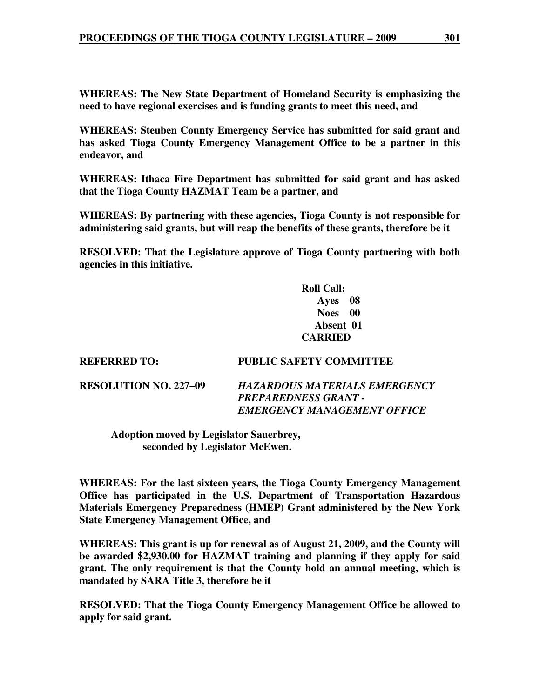**WHEREAS: The New State Department of Homeland Security is emphasizing the need to have regional exercises and is funding grants to meet this need, and** 

**WHEREAS: Steuben County Emergency Service has submitted for said grant and has asked Tioga County Emergency Management Office to be a partner in this endeavor, and** 

**WHEREAS: Ithaca Fire Department has submitted for said grant and has asked that the Tioga County HAZMAT Team be a partner, and** 

**WHEREAS: By partnering with these agencies, Tioga County is not responsible for administering said grants, but will reap the benefits of these grants, therefore be it** 

**RESOLVED: That the Legislature approve of Tioga County partnering with both agencies in this initiative.** 

> **Roll Call: Ayes 08 Noes 00 Absent 01 CARRIED**

#### **REFERRED TO: PUBLIC SAFETY COMMITTEE**

**RESOLUTION NO. 227–09** *HAZARDOUS MATERIALS EMERGENCY PREPAREDNESS GRANT - EMERGENCY MANAGEMENT OFFICE* 

 **Adoption moved by Legislator Sauerbrey, seconded by Legislator McEwen.** 

**WHEREAS: For the last sixteen years, the Tioga County Emergency Management Office has participated in the U.S. Department of Transportation Hazardous Materials Emergency Preparedness (HMEP) Grant administered by the New York State Emergency Management Office, and** 

**WHEREAS: This grant is up for renewal as of August 21, 2009, and the County will be awarded \$2,930.00 for HAZMAT training and planning if they apply for said grant. The only requirement is that the County hold an annual meeting, which is mandated by SARA Title 3, therefore be it** 

**RESOLVED: That the Tioga County Emergency Management Office be allowed to apply for said grant.**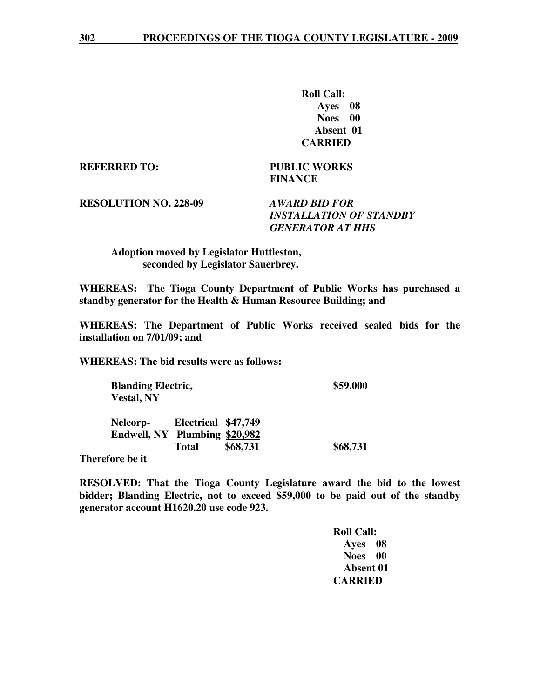**Roll Call: Ayes 08 Noes 00 Absent 01 CARRIED** 

**REFERRED TO: PUBLIC WORKS** 

 **FINANCE** 

**RESOLUTION NO. 228-09** *AWARD BID FOR* 

 *INSTALLATION OF STANDBY GENERATOR AT HHS* 

 **Adoption moved by Legislator Huttleston, seconded by Legislator Sauerbrey.** 

**WHEREAS: The Tioga County Department of Public Works has purchased a standby generator for the Health & Human Resource Building; and** 

**WHEREAS: The Department of Public Works received sealed bids for the installation on 7/01/09; and** 

**WHEREAS: The bid results were as follows:** 

**Blanding Electric,** \$59,000  **Vestal, NY Nelcorp- Electrical \$47,749 Endwell, NY Plumbing \$20,982** Total \$68,731 \$68,731

**Therefore be it** 

**RESOLVED: That the Tioga County Legislature award the bid to the lowest bidder; Blanding Electric, not to exceed \$59,000 to be paid out of the standby generator account H1620.20 use code 923.** 

> **Roll Call: Ayes 08 Noes 00 Absent 01 CARRIED**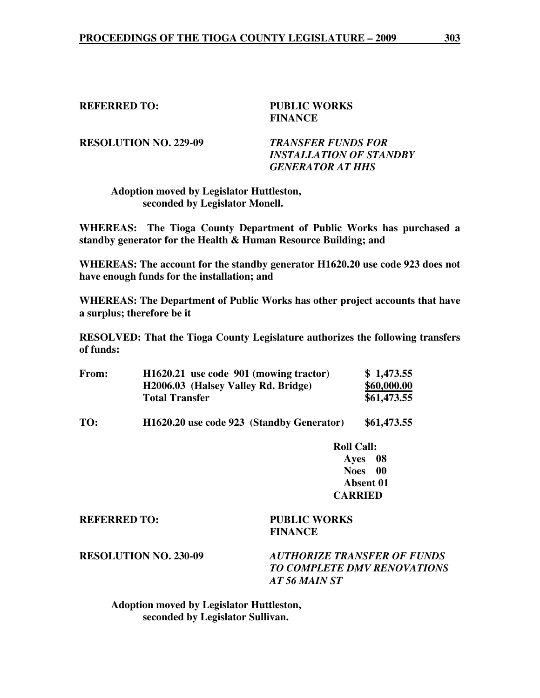#### **REFERRED TO: PUBLIC WORKS**

# **FINANCE**

**RESOLUTION NO. 229-09** *TRANSFER FUNDS FOR* 

 *INSTALLATION OF STANDBY GENERATOR AT HHS* 

#### **Adoption moved by Legislator Huttleston, seconded by Legislator Monell.**

**WHEREAS: The Tioga County Department of Public Works has purchased a standby generator for the Health & Human Resource Building; and** 

**WHEREAS: The account for the standby generator H1620.20 use code 923 does not have enough funds for the installation; and** 

**WHEREAS: The Department of Public Works has other project accounts that have a surplus; therefore be it** 

**RESOLVED: That the Tioga County Legislature authorizes the following transfers of funds:** 

| <b>From:</b> | H1620.21 use code 901 (mowing tractor) | \$1,473.55  |
|--------------|----------------------------------------|-------------|
|              | H2006.03 (Halsey Valley Rd. Bridge)    | \$60,000.00 |
|              | <b>Total Transfer</b>                  | \$61,473.55 |

**TO: H1620.20 use code 923 (Standby Generator) \$61,473.55** 

 **Roll Call: Ayes 08 Noes 00 Absent 01 CARRIED** 

**REFERRED TO: PUBLIC WORKS** 

 **FINANCE** 

**RESOLUTION NO. 230-09** *AUTHORIZE TRANSFER OF FUNDS TO COMPLETE DMV RENOVATIONS AT 56 MAIN ST* 

 **Adoption moved by Legislator Huttleston, seconded by Legislator Sullivan.**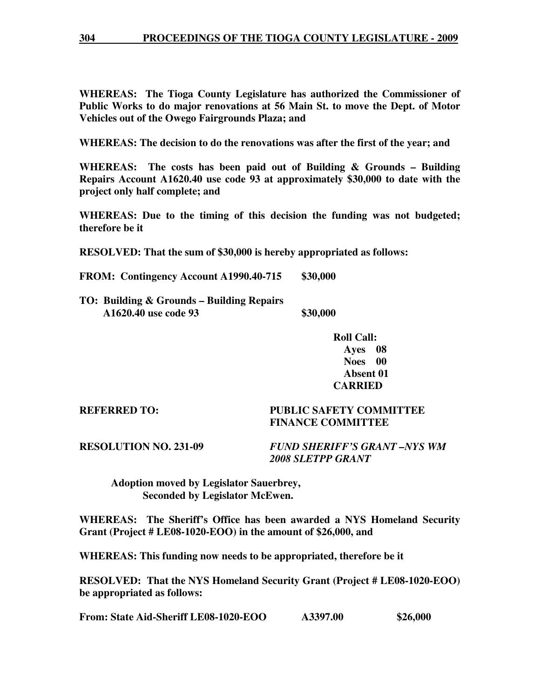**WHEREAS: The Tioga County Legislature has authorized the Commissioner of Public Works to do major renovations at 56 Main St. to move the Dept. of Motor Vehicles out of the Owego Fairgrounds Plaza; and** 

**WHEREAS: The decision to do the renovations was after the first of the year; and** 

**WHEREAS: The costs has been paid out of Building & Grounds – Building Repairs Account A1620.40 use code 93 at approximately \$30,000 to date with the project only half complete; and** 

**WHEREAS: Due to the timing of this decision the funding was not budgeted; therefore be it** 

**RESOLVED: That the sum of \$30,000 is hereby appropriated as follows:** 

**FROM: Contingency Account A1990.40-715 \$30,000** 

- **TO: Building & Grounds Building Repairs A1620.40 use code 93** \$30,000
	- **Roll Call: Ayes 08 Noes 00 Absent 01 CARRIED**

#### **REFERRED TO: PUBLIC SAFETY COMMITTEE FINANCE COMMITTEE**

**RESOLUTION NO. 231-09** *FUND SHERIFF'S GRANT –NYS WM 2008 SLETPP GRANT* 

 **Adoption moved by Legislator Sauerbrey, Seconded by Legislator McEwen.** 

**WHEREAS: The Sheriff's Office has been awarded a NYS Homeland Security Grant (Project # LE08-1020-EOO) in the amount of \$26,000, and** 

**WHEREAS: This funding now needs to be appropriated, therefore be it** 

**RESOLVED: That the NYS Homeland Security Grant (Project # LE08-1020-EOO) be appropriated as follows:** 

**From: State Aid-Sheriff LE08-1020-EOO A3397.00 \$26,000**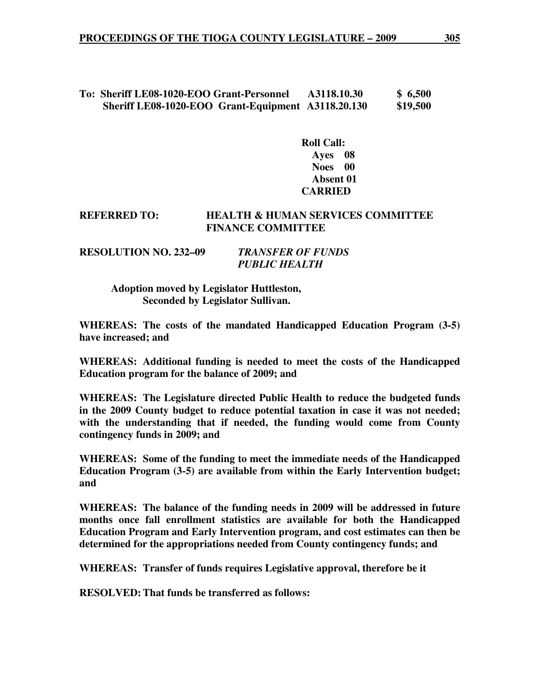#### **To: Sheriff LE08-1020-EOO Grant-Personnel A3118.10.30 \$ 6,500 Sheriff LE08-1020-EOO Grant-Equipment A3118.20.130 \$19,500**

 **Roll Call: Ayes 08 Noes 00 Absent 01 CARRIED** 

#### **REFERRED TO: HEALTH & HUMAN SERVICES COMMITTEE FINANCE COMMITTEE**

| <b>RESOLUTION NO. 232–09</b> | <b>TRANSFER OF FUNDS</b> |  |
|------------------------------|--------------------------|--|
|                              | <b>PUBLIC HEALTH</b>     |  |

 **Adoption moved by Legislator Huttleston, Seconded by Legislator Sullivan.** 

**WHEREAS: The costs of the mandated Handicapped Education Program (3-5) have increased; and** 

**WHEREAS: Additional funding is needed to meet the costs of the Handicapped Education program for the balance of 2009; and** 

**WHEREAS: The Legislature directed Public Health to reduce the budgeted funds in the 2009 County budget to reduce potential taxation in case it was not needed; with the understanding that if needed, the funding would come from County contingency funds in 2009; and** 

**WHEREAS: Some of the funding to meet the immediate needs of the Handicapped Education Program (3-5) are available from within the Early Intervention budget; and** 

**WHEREAS: The balance of the funding needs in 2009 will be addressed in future months once fall enrollment statistics are available for both the Handicapped Education Program and Early Intervention program, and cost estimates can then be determined for the appropriations needed from County contingency funds; and** 

**WHEREAS: Transfer of funds requires Legislative approval, therefore be it** 

**RESOLVED: That funds be transferred as follows:**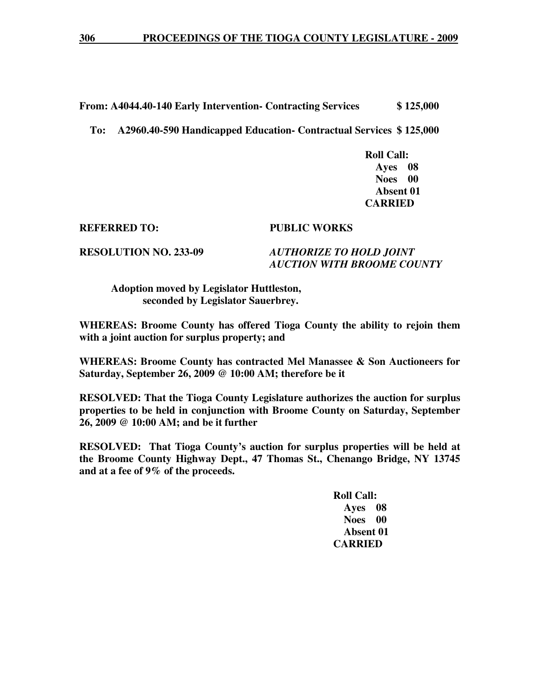**From: A4044.40-140 Early Intervention- Contracting Services \$ 125,000** 

 **To: A2960.40-590 Handicapped Education- Contractual Services \$ 125,000** 

 **Roll Call: Ayes 08 Noes 00 Absent 01 CARRIED** 

**REFERRED TO: PUBLIC WORKS** 

**RESOLUTION NO. 233-09** *AUTHORIZE TO HOLD JOINT AUCTION WITH BROOME COUNTY* 

 **Adoption moved by Legislator Huttleston, seconded by Legislator Sauerbrey.** 

**WHEREAS: Broome County has offered Tioga County the ability to rejoin them with a joint auction for surplus property; and** 

**WHEREAS: Broome County has contracted Mel Manassee & Son Auctioneers for Saturday, September 26, 2009 @ 10:00 AM; therefore be it** 

**RESOLVED: That the Tioga County Legislature authorizes the auction for surplus properties to be held in conjunction with Broome County on Saturday, September 26, 2009 @ 10:00 AM; and be it further** 

**RESOLVED: That Tioga County's auction for surplus properties will be held at the Broome County Highway Dept., 47 Thomas St., Chenango Bridge, NY 13745 and at a fee of 9% of the proceeds.** 

> **Roll Call: Ayes 08 Noes 00 Absent 01 CARRIED**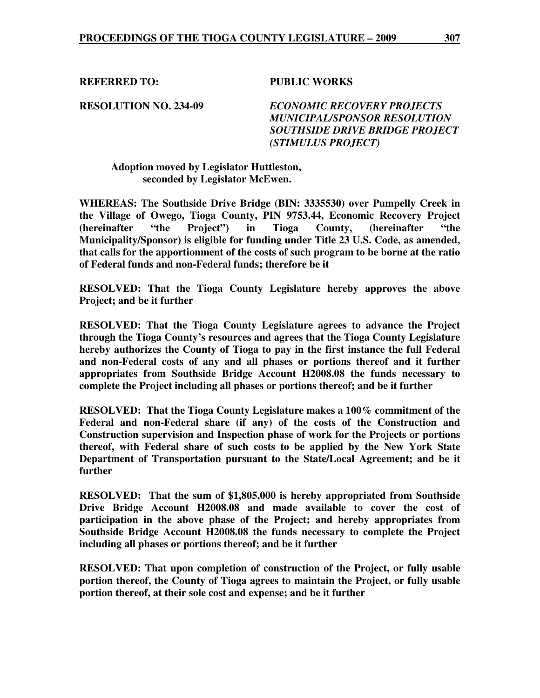**REFERRED TO: PUBLIC WORKS** 

**RESOLUTION NO. 234-09** *ECONOMIC RECOVERY PROJECTS MUNICIPAL/SPONSOR RESOLUTION SOUTHSIDE DRIVE BRIDGE PROJECT (STIMULUS PROJECT)* 

 **Adoption moved by Legislator Huttleston, seconded by Legislator McEwen.** 

**WHEREAS: The Southside Drive Bridge (BIN: 3335530) over Pumpelly Creek in the Village of Owego, Tioga County, PIN 9753.44, Economic Recovery Project (hereinafter "the Project") in Tioga County, (hereinafter "the Municipality/Sponsor) is eligible for funding under Title 23 U.S. Code, as amended, that calls for the apportionment of the costs of such program to be borne at the ratio of Federal funds and non-Federal funds; therefore be it** 

**RESOLVED: That the Tioga County Legislature hereby approves the above Project; and be it further** 

**RESOLVED: That the Tioga County Legislature agrees to advance the Project through the Tioga County's resources and agrees that the Tioga County Legislature hereby authorizes the County of Tioga to pay in the first instance the full Federal and non-Federal costs of any and all phases or portions thereof and it further appropriates from Southside Bridge Account H2008.08 the funds necessary to complete the Project including all phases or portions thereof; and be it further** 

**RESOLVED: That the Tioga County Legislature makes a 100% commitment of the Federal and non-Federal share (if any) of the costs of the Construction and Construction supervision and Inspection phase of work for the Projects or portions thereof, with Federal share of such costs to be applied by the New York State Department of Transportation pursuant to the State/Local Agreement; and be it further** 

**RESOLVED: That the sum of \$1,805,000 is hereby appropriated from Southside Drive Bridge Account H2008.08 and made available to cover the cost of participation in the above phase of the Project; and hereby appropriates from Southside Bridge Account H2008.08 the funds necessary to complete the Project including all phases or portions thereof; and be it further** 

**RESOLVED: That upon completion of construction of the Project, or fully usable portion thereof, the County of Tioga agrees to maintain the Project, or fully usable portion thereof, at their sole cost and expense; and be it further**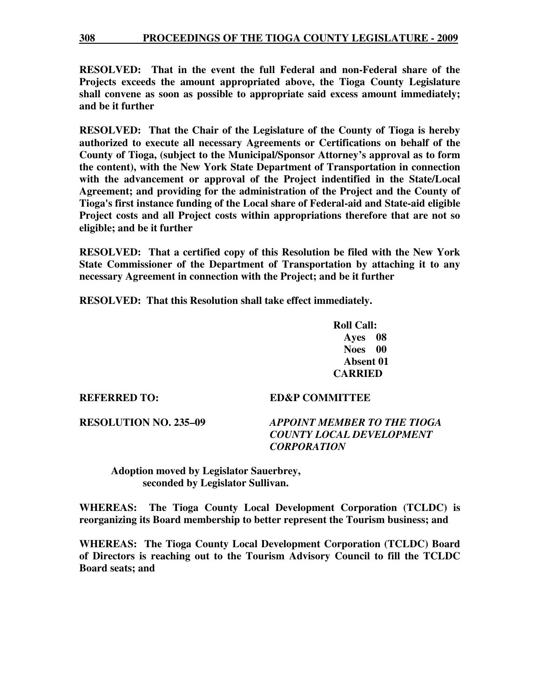**RESOLVED: That in the event the full Federal and non-Federal share of the Projects exceeds the amount appropriated above, the Tioga County Legislature shall convene as soon as possible to appropriate said excess amount immediately; and be it further** 

**RESOLVED: That the Chair of the Legislature of the County of Tioga is hereby authorized to execute all necessary Agreements or Certifications on behalf of the County of Tioga, (subject to the Municipal/Sponsor Attorney's approval as to form the content), with the New York State Department of Transportation in connection with the advancement or approval of the Project indentified in the State/Local Agreement; and providing for the administration of the Project and the County of Tioga's first instance funding of the Local share of Federal-aid and State-aid eligible Project costs and all Project costs within appropriations therefore that are not so eligible; and be it further** 

**RESOLVED: That a certified copy of this Resolution be filed with the New York State Commissioner of the Department of Transportation by attaching it to any necessary Agreement in connection with the Project; and be it further** 

**RESOLVED: That this Resolution shall take effect immediately.** 

 **Roll Call: Ayes 08 Noes 00 Absent 01 CARRIED** 

**REFERRED TO: ED&P COMMITTEE** 

#### **RESOLUTION NO. 235–09** *APPOINT MEMBER TO THE TIOGA COUNTY LOCAL DEVELOPMENT CORPORATION*

 **Adoption moved by Legislator Sauerbrey, seconded by Legislator Sullivan.** 

**WHEREAS: The Tioga County Local Development Corporation (TCLDC) is reorganizing its Board membership to better represent the Tourism business; and** 

**WHEREAS: The Tioga County Local Development Corporation (TCLDC) Board of Directors is reaching out to the Tourism Advisory Council to fill the TCLDC Board seats; and**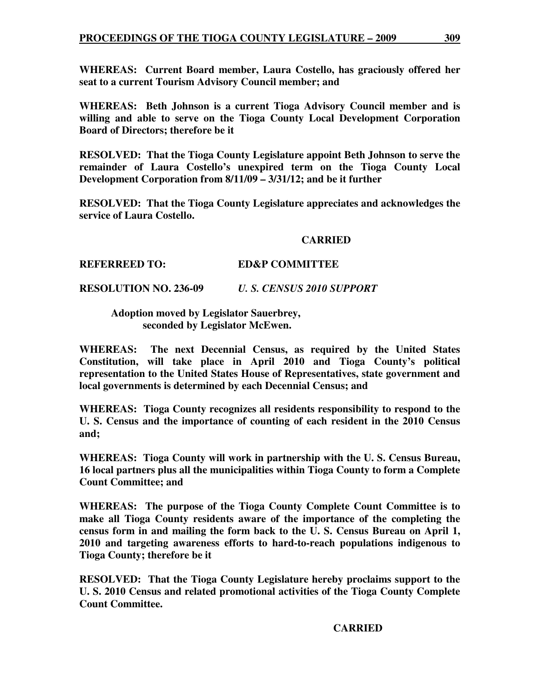**WHEREAS: Current Board member, Laura Costello, has graciously offered her seat to a current Tourism Advisory Council member; and** 

**WHEREAS: Beth Johnson is a current Tioga Advisory Council member and is willing and able to serve on the Tioga County Local Development Corporation Board of Directors; therefore be it** 

**RESOLVED: That the Tioga County Legislature appoint Beth Johnson to serve the remainder of Laura Costello's unexpired term on the Tioga County Local Development Corporation from 8/11/09 – 3/31/12; and be it further** 

**RESOLVED: That the Tioga County Legislature appreciates and acknowledges the service of Laura Costello.** 

#### **CARRIED**

#### **REFERREED TO: ED&P COMMITTEE**

**RESOLUTION NO. 236-09** *U. S. CENSUS 2010 SUPPORT* 

#### **Adoption moved by Legislator Sauerbrey, seconded by Legislator McEwen.**

**WHEREAS: The next Decennial Census, as required by the United States Constitution, will take place in April 2010 and Tioga County's political representation to the United States House of Representatives, state government and local governments is determined by each Decennial Census; and** 

**WHEREAS: Tioga County recognizes all residents responsibility to respond to the U. S. Census and the importance of counting of each resident in the 2010 Census and;** 

**WHEREAS: Tioga County will work in partnership with the U. S. Census Bureau, 16 local partners plus all the municipalities within Tioga County to form a Complete Count Committee; and** 

**WHEREAS: The purpose of the Tioga County Complete Count Committee is to make all Tioga County residents aware of the importance of the completing the census form in and mailing the form back to the U. S. Census Bureau on April 1, 2010 and targeting awareness efforts to hard-to-reach populations indigenous to Tioga County; therefore be it** 

**RESOLVED: That the Tioga County Legislature hereby proclaims support to the U. S. 2010 Census and related promotional activities of the Tioga County Complete Count Committee.** 

#### **CARRIED**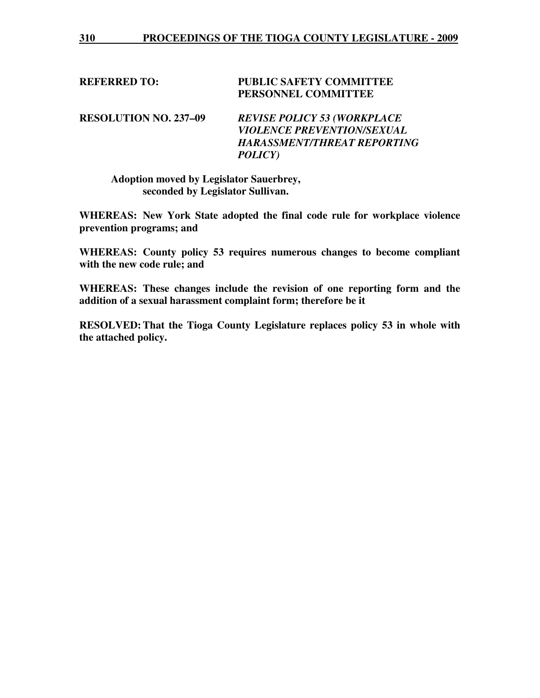#### **REFERRED TO: PUBLIC SAFETY COMMITTEE PERSONNEL COMMITTEE**

**RESOLUTION NO. 237–09** *REVISE POLICY 53 (WORKPLACE VIOLENCE PREVENTION/SEXUAL HARASSMENT/THREAT REPORTING POLICY)* 

 **Adoption moved by Legislator Sauerbrey, seconded by Legislator Sullivan.** 

**WHEREAS: New York State adopted the final code rule for workplace violence prevention programs; and** 

**WHEREAS: County policy 53 requires numerous changes to become compliant with the new code rule; and** 

**WHEREAS: These changes include the revision of one reporting form and the addition of a sexual harassment complaint form; therefore be it** 

**RESOLVED: That the Tioga County Legislature replaces policy 53 in whole with the attached policy.**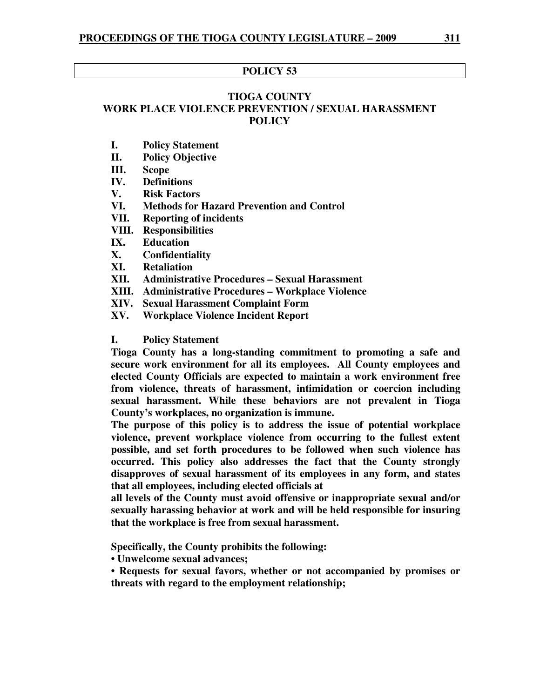#### **POLICY 53**

#### **TIOGA COUNTY WORK PLACE VIOLENCE PREVENTION / SEXUAL HARASSMENT POLICY**

- **I. Policy Statement**
- **II. Policy Objective**
- **III. Scope**
- **IV. Definitions**
- **V. Risk Factors**
- **VI. Methods for Hazard Prevention and Control**
- **VII. Reporting of incidents**
- **VIII. Responsibilities**
- **IX. Education**
- **X. Confidentiality**
- **XI. Retaliation**
- **XII. Administrative Procedures Sexual Harassment**
- **XIII. Administrative Procedures Workplace Violence**
- **XIV. Sexual Harassment Complaint Form**
- **XV. Workplace Violence Incident Report**

#### **I. Policy Statement**

**Tioga County has a long-standing commitment to promoting a safe and secure work environment for all its employees. All County employees and elected County Officials are expected to maintain a work environment free from violence, threats of harassment, intimidation or coercion including sexual harassment. While these behaviors are not prevalent in Tioga County's workplaces, no organization is immune.** 

**The purpose of this policy is to address the issue of potential workplace violence, prevent workplace violence from occurring to the fullest extent possible, and set forth procedures to be followed when such violence has occurred. This policy also addresses the fact that the County strongly disapproves of sexual harassment of its employees in any form, and states that all employees, including elected officials at** 

**all levels of the County must avoid offensive or inappropriate sexual and/or sexually harassing behavior at work and will be held responsible for insuring that the workplace is free from sexual harassment.** 

**Specifically, the County prohibits the following:** 

**• Unwelcome sexual advances;** 

**• Requests for sexual favors, whether or not accompanied by promises or threats with regard to the employment relationship;**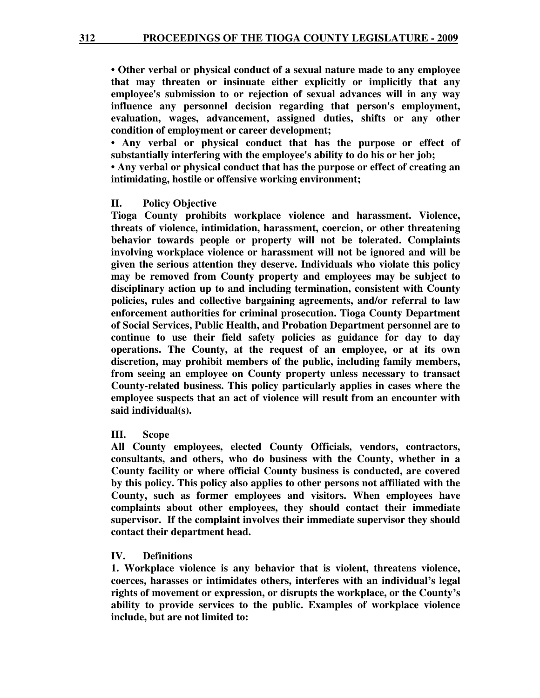**• Other verbal or physical conduct of a sexual nature made to any employee that may threaten or insinuate either explicitly or implicitly that any employee's submission to or rejection of sexual advances will in any way influence any personnel decision regarding that person's employment, evaluation, wages, advancement, assigned duties, shifts or any other condition of employment or career development;** 

**• Any verbal or physical conduct that has the purpose or effect of substantially interfering with the employee's ability to do his or her job;** 

**• Any verbal or physical conduct that has the purpose or effect of creating an intimidating, hostile or offensive working environment;** 

#### **II. Policy Objective**

**Tioga County prohibits workplace violence and harassment. Violence, threats of violence, intimidation, harassment, coercion, or other threatening behavior towards people or property will not be tolerated. Complaints involving workplace violence or harassment will not be ignored and will be given the serious attention they deserve. Individuals who violate this policy may be removed from County property and employees may be subject to disciplinary action up to and including termination, consistent with County policies, rules and collective bargaining agreements, and/or referral to law enforcement authorities for criminal prosecution. Tioga County Department of Social Services, Public Health, and Probation Department personnel are to continue to use their field safety policies as guidance for day to day operations. The County, at the request of an employee, or at its own discretion, may prohibit members of the public, including family members, from seeing an employee on County property unless necessary to transact County-related business. This policy particularly applies in cases where the employee suspects that an act of violence will result from an encounter with said individual(s).** 

#### **III. Scope**

**All County employees, elected County Officials, vendors, contractors, consultants, and others, who do business with the County, whether in a County facility or where official County business is conducted, are covered by this policy. This policy also applies to other persons not affiliated with the County, such as former employees and visitors. When employees have complaints about other employees, they should contact their immediate supervisor. If the complaint involves their immediate supervisor they should contact their department head.** 

#### **IV. Definitions**

**1. Workplace violence is any behavior that is violent, threatens violence, coerces, harasses or intimidates others, interferes with an individual's legal rights of movement or expression, or disrupts the workplace, or the County's ability to provide services to the public. Examples of workplace violence include, but are not limited to:**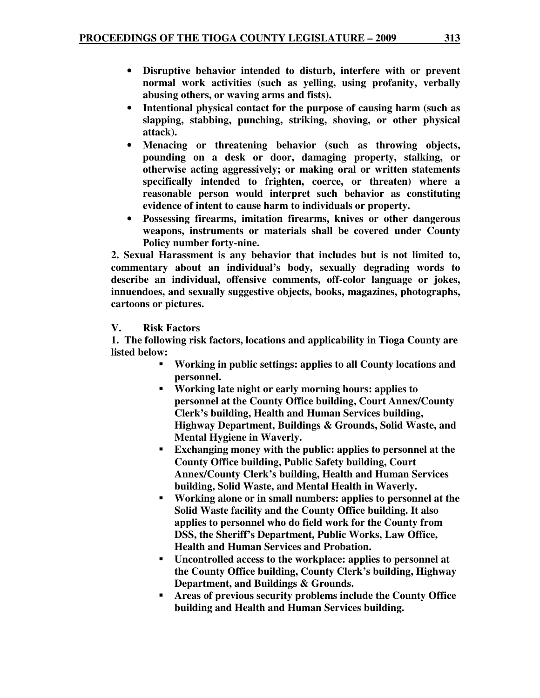- **Disruptive behavior intended to disturb, interfere with or prevent normal work activities (such as yelling, using profanity, verbally abusing others, or waving arms and fists).**
- **Intentional physical contact for the purpose of causing harm (such as slapping, stabbing, punching, striking, shoving, or other physical attack).**
- **Menacing or threatening behavior (such as throwing objects, pounding on a desk or door, damaging property, stalking, or otherwise acting aggressively; or making oral or written statements specifically intended to frighten, coerce, or threaten) where a reasonable person would interpret such behavior as constituting evidence of intent to cause harm to individuals or property.**
- **Possessing firearms, imitation firearms, knives or other dangerous weapons, instruments or materials shall be covered under County Policy number forty-nine.**

**2. Sexual Harassment is any behavior that includes but is not limited to, commentary about an individual's body, sexually degrading words to describe an individual, offensive comments, off-color language or jokes, innuendoes, and sexually suggestive objects, books, magazines, photographs, cartoons or pictures.** 

#### **V. Risk Factors**

 **1. The following risk factors, locations and applicability in Tioga County are listed below:** 

- **Working in public settings: applies to all County locations and personnel.**
- **Working late night or early morning hours: applies to personnel at the County Office building, Court Annex/County Clerk's building, Health and Human Services building, Highway Department, Buildings & Grounds, Solid Waste, and Mental Hygiene in Waverly.**
- **Exchanging money with the public: applies to personnel at the County Office building, Public Safety building, Court Annex/County Clerk's building, Health and Human Services building, Solid Waste, and Mental Health in Waverly.**
- **Working alone or in small numbers: applies to personnel at the Solid Waste facility and the County Office building. It also applies to personnel who do field work for the County from DSS, the Sheriff's Department, Public Works, Law Office, Health and Human Services and Probation.**
- **Uncontrolled access to the workplace: applies to personnel at the County Office building, County Clerk's building, Highway Department, and Buildings & Grounds.**
- **Areas of previous security problems include the County Office building and Health and Human Services building.**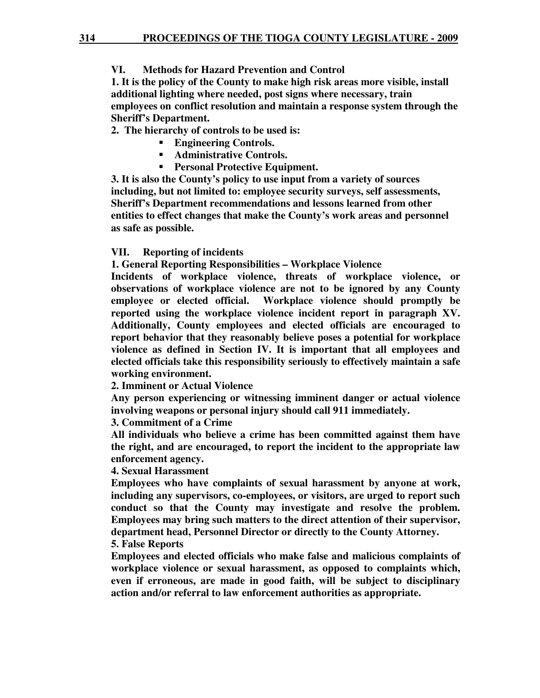#### **VI. Methods for Hazard Prevention and Control**

**1. It is the policy of the County to make high risk areas more visible, install additional lighting where needed, post signs where necessary, train employees on conflict resolution and maintain a response system through the Sheriff's Department.** 

 **2. The hierarchy of controls to be used is:** 

- **Engineering Controls.**
- **Administrative Controls.**
- **Personal Protective Equipment.**

**3. It is also the County's policy to use input from a variety of sources including, but not limited to: employee security surveys, self assessments, Sheriff's Department recommendations and lessons learned from other entities to effect changes that make the County's work areas and personnel as safe as possible.** 

#### **VII. Reporting of incidents**

**1. General Reporting Responsibilities – Workplace Violence** 

**Incidents of workplace violence, threats of workplace violence, or observations of workplace violence are not to be ignored by any County employee or elected official. Workplace violence should promptly be reported using the workplace violence incident report in paragraph XV. Additionally, County employees and elected officials are encouraged to report behavior that they reasonably believe poses a potential for workplace violence as defined in Section IV. It is important that all employees and elected officials take this responsibility seriously to effectively maintain a safe working environment.** 

**2. Imminent or Actual Violence** 

**Any person experiencing or witnessing imminent danger or actual violence involving weapons or personal injury should call 911 immediately.** 

#### **3. Commitment of a Crime**

**All individuals who believe a crime has been committed against them have the right, and are encouraged, to report the incident to the appropriate law enforcement agency.** 

#### **4. Sexual Harassment**

**Employees who have complaints of sexual harassment by anyone at work, including any supervisors, co-employees, or visitors, are urged to report such conduct so that the County may investigate and resolve the problem. Employees may bring such matters to the direct attention of their supervisor, department head, Personnel Director or directly to the County Attorney. 5. False Reports** 

**Employees and elected officials who make false and malicious complaints of workplace violence or sexual harassment, as opposed to complaints which, even if erroneous, are made in good faith, will be subject to disciplinary action and/or referral to law enforcement authorities as appropriate.**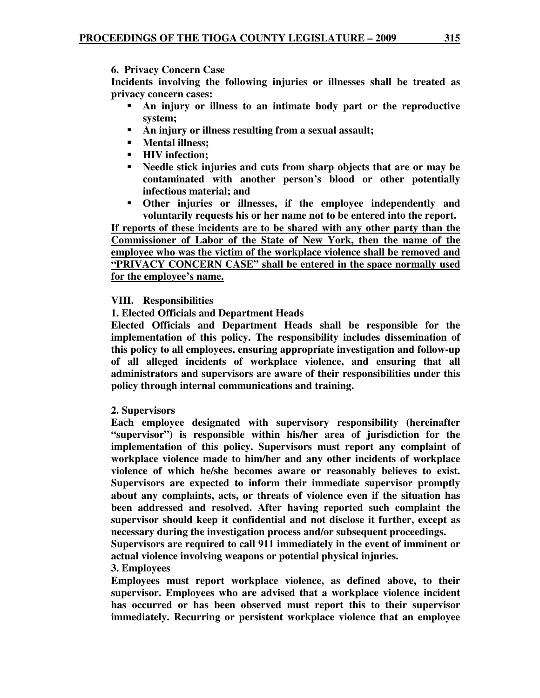**6. Privacy Concern Case** 

**Incidents involving the following injuries or illnesses shall be treated as privacy concern cases:** 

- **An injury or illness to an intimate body part or the reproductive system;**
- **An injury or illness resulting from a sexual assault;**
- **Mental illness;**
- **HIV infection;**
- **Needle stick injuries and cuts from sharp objects that are or may be contaminated with another person's blood or other potentially infectious material; and**
- **Other injuries or illnesses, if the employee independently and voluntarily requests his or her name not to be entered into the report.**

**If reports of these incidents are to be shared with any other party than the Commissioner of Labor of the State of New York, then the name of the employee who was the victim of the workplace violence shall be removed and "PRIVACY CONCERN CASE" shall be entered in the space normally used for the employee's name.**

### **VIII. Responsibilities**

#### **1. Elected Officials and Department Heads**

**Elected Officials and Department Heads shall be responsible for the implementation of this policy. The responsibility includes dissemination of this policy to all employees, ensuring appropriate investigation and follow-up of all alleged incidents of workplace violence, and ensuring that all administrators and supervisors are aware of their responsibilities under this policy through internal communications and training.** 

#### **2. Supervisors**

**Each employee designated with supervisory responsibility (hereinafter "supervisor") is responsible within his/her area of jurisdiction for the implementation of this policy. Supervisors must report any complaint of workplace violence made to him/her and any other incidents of workplace violence of which he/she becomes aware or reasonably believes to exist. Supervisors are expected to inform their immediate supervisor promptly about any complaints, acts, or threats of violence even if the situation has been addressed and resolved. After having reported such complaint the supervisor should keep it confidential and not disclose it further, except as necessary during the investigation process and/or subsequent proceedings.** 

**Supervisors are required to call 911 immediately in the event of imminent or actual violence involving weapons or potential physical injuries.** 

#### **3. Employees**

**Employees must report workplace violence, as defined above, to their supervisor. Employees who are advised that a workplace violence incident has occurred or has been observed must report this to their supervisor immediately. Recurring or persistent workplace violence that an employee**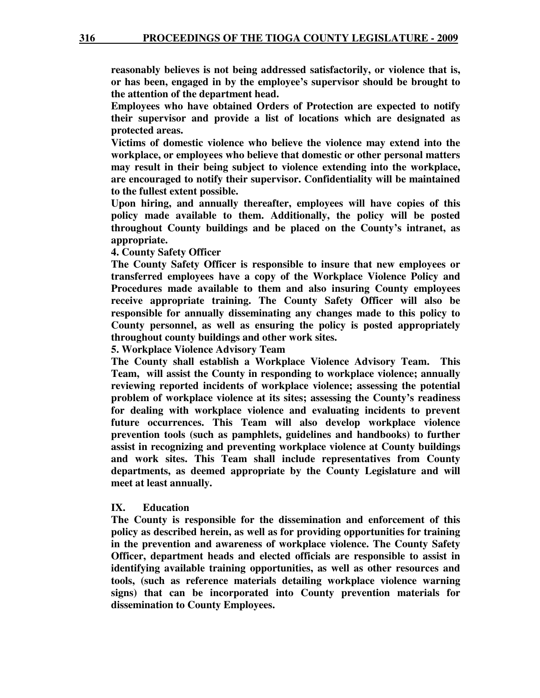**reasonably believes is not being addressed satisfactorily, or violence that is, or has been, engaged in by the employee's supervisor should be brought to the attention of the department head.** 

**Employees who have obtained Orders of Protection are expected to notify their supervisor and provide a list of locations which are designated as protected areas.** 

**Victims of domestic violence who believe the violence may extend into the workplace, or employees who believe that domestic or other personal matters may result in their being subject to violence extending into the workplace, are encouraged to notify their supervisor. Confidentiality will be maintained to the fullest extent possible.** 

**Upon hiring, and annually thereafter, employees will have copies of this policy made available to them. Additionally, the policy will be posted throughout County buildings and be placed on the County's intranet, as appropriate.** 

**4. County Safety Officer** 

**The County Safety Officer is responsible to insure that new employees or transferred employees have a copy of the Workplace Violence Policy and Procedures made available to them and also insuring County employees receive appropriate training. The County Safety Officer will also be responsible for annually disseminating any changes made to this policy to County personnel, as well as ensuring the policy is posted appropriately throughout county buildings and other work sites.** 

**5. Workplace Violence Advisory Team** 

**The County shall establish a Workplace Violence Advisory Team. This Team, will assist the County in responding to workplace violence; annually reviewing reported incidents of workplace violence; assessing the potential problem of workplace violence at its sites; assessing the County's readiness for dealing with workplace violence and evaluating incidents to prevent future occurrences. This Team will also develop workplace violence prevention tools (such as pamphlets, guidelines and handbooks) to further assist in recognizing and preventing workplace violence at County buildings and work sites. This Team shall include representatives from County departments, as deemed appropriate by the County Legislature and will meet at least annually.** 

#### **IX. Education**

**The County is responsible for the dissemination and enforcement of this policy as described herein, as well as for providing opportunities for training in the prevention and awareness of workplace violence. The County Safety Officer, department heads and elected officials are responsible to assist in identifying available training opportunities, as well as other resources and tools, (such as reference materials detailing workplace violence warning signs) that can be incorporated into County prevention materials for dissemination to County Employees.**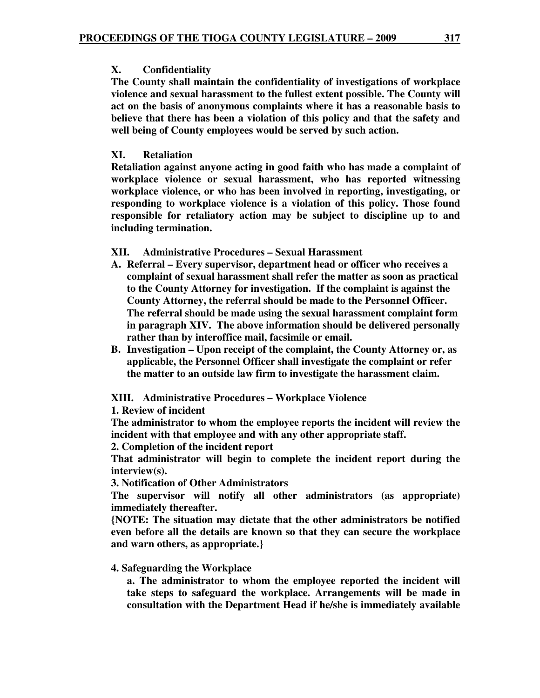#### **X. Confidentiality**

**The County shall maintain the confidentiality of investigations of workplace violence and sexual harassment to the fullest extent possible. The County will act on the basis of anonymous complaints where it has a reasonable basis to believe that there has been a violation of this policy and that the safety and well being of County employees would be served by such action.** 

#### **XI. Retaliation**

**Retaliation against anyone acting in good faith who has made a complaint of workplace violence or sexual harassment, who has reported witnessing workplace violence, or who has been involved in reporting, investigating, or responding to workplace violence is a violation of this policy. Those found responsible for retaliatory action may be subject to discipline up to and including termination.** 

#### **XII. Administrative Procedures – Sexual Harassment**

- **A. Referral Every supervisor, department head or officer who receives a complaint of sexual harassment shall refer the matter as soon as practical to the County Attorney for investigation. If the complaint is against the County Attorney, the referral should be made to the Personnel Officer. The referral should be made using the sexual harassment complaint form in paragraph XIV. The above information should be delivered personally rather than by interoffice mail, facsimile or email.**
- **B. Investigation Upon receipt of the complaint, the County Attorney or, as applicable, the Personnel Officer shall investigate the complaint or refer the matter to an outside law firm to investigate the harassment claim.**

**XIII. Administrative Procedures – Workplace Violence** 

**1. Review of incident** 

**The administrator to whom the employee reports the incident will review the incident with that employee and with any other appropriate staff.** 

**2. Completion of the incident report** 

**That administrator will begin to complete the incident report during the interview(s).** 

**3. Notification of Other Administrators** 

**The supervisor will notify all other administrators (as appropriate) immediately thereafter.** 

**{NOTE: The situation may dictate that the other administrators be notified even before all the details are known so that they can secure the workplace and warn others, as appropriate.}** 

#### **4. Safeguarding the Workplace**

**a. The administrator to whom the employee reported the incident will take steps to safeguard the workplace. Arrangements will be made in consultation with the Department Head if he/she is immediately available**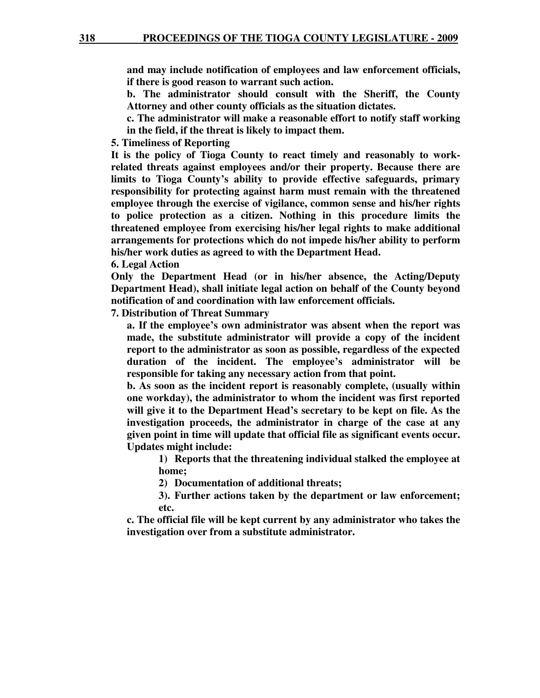**and may include notification of employees and law enforcement officials, if there is good reason to warrant such action.** 

**b. The administrator should consult with the Sheriff, the County Attorney and other county officials as the situation dictates.** 

**c. The administrator will make a reasonable effort to notify staff working in the field, if the threat is likely to impact them.** 

**5. Timeliness of Reporting** 

**It is the policy of Tioga County to react timely and reasonably to workrelated threats against employees and/or their property. Because there are limits to Tioga County's ability to provide effective safeguards, primary responsibility for protecting against harm must remain with the threatened employee through the exercise of vigilance, common sense and his/her rights to police protection as a citizen. Nothing in this procedure limits the threatened employee from exercising his/her legal rights to make additional arrangements for protections which do not impede his/her ability to perform his/her work duties as agreed to with the Department Head.** 

**6. Legal Action** 

**Only the Department Head (or in his/her absence, the Acting/Deputy Department Head), shall initiate legal action on behalf of the County beyond notification of and coordination with law enforcement officials.** 

**7. Distribution of Threat Summary** 

**a. If the employee's own administrator was absent when the report was made, the substitute administrator will provide a copy of the incident report to the administrator as soon as possible, regardless of the expected duration of the incident. The employee's administrator will be responsible for taking any necessary action from that point.** 

**b. As soon as the incident report is reasonably complete, (usually within one workday), the administrator to whom the incident was first reported will give it to the Department Head's secretary to be kept on file. As the investigation proceeds, the administrator in charge of the case at any given point in time will update that official file as significant events occur. Updates might include:** 

**1) Reports that the threatening individual stalked the employee at home;** 

**2) Documentation of additional threats;** 

**3). Further actions taken by the department or law enforcement; etc.** 

**c. The official file will be kept current by any administrator who takes the investigation over from a substitute administrator.**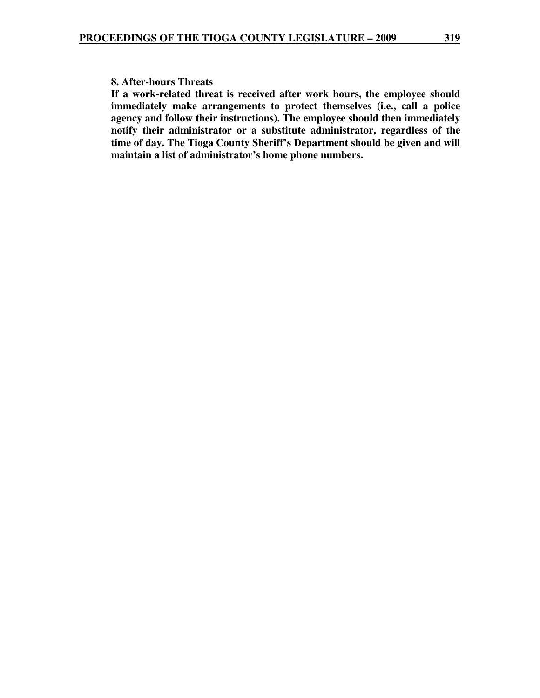#### **8. After-hours Threats**

**If a work-related threat is received after work hours, the employee should immediately make arrangements to protect themselves (i.e., call a police agency and follow their instructions). The employee should then immediately notify their administrator or a substitute administrator, regardless of the time of day. The Tioga County Sheriff's Department should be given and will maintain a list of administrator's home phone numbers.**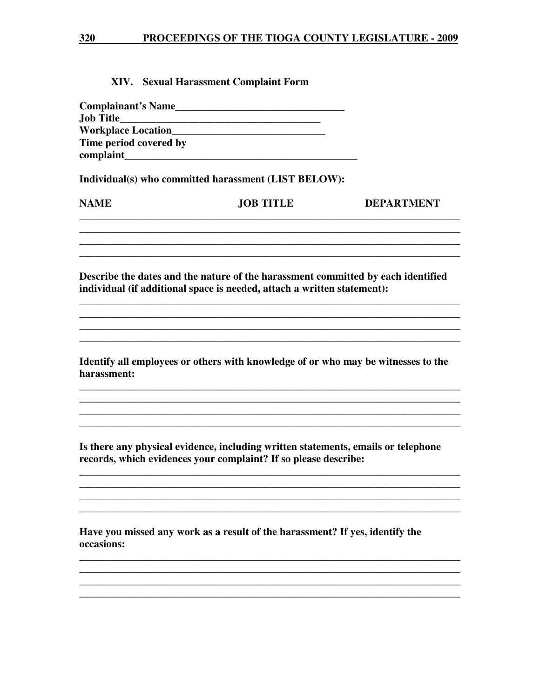#### XIV. Sexual Harassment Complaint Form

| <b>Complainant's Name</b> |  |
|---------------------------|--|
| <b>Job Title</b>          |  |
| <b>Workplace Location</b> |  |
| Time period covered by    |  |
| complaint                 |  |

Individual(s) who committed harassment (LIST BELOW):

| <b>NAME</b> | <b>JOB TITLE</b> | <b>DEPARTMENT</b> |
|-------------|------------------|-------------------|
|             |                  |                   |

and the control of the control of the control of the control of the control of the control of the control of the

Describe the dates and the nature of the harassment committed by each identified individual (if additional space is needed, attach a written statement):

Identify all employees or others with knowledge of or who may be witnesses to the harassment:

Is there any physical evidence, including written statements, emails or telephone records, which evidences your complaint? If so please describe:

Have you missed any work as a result of the harassment? If yes, identify the occasions: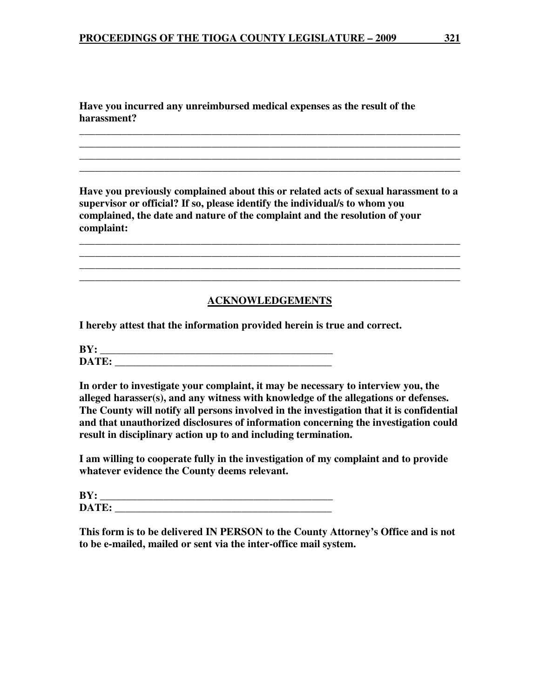**Have you incurred any unreimbursed medical expenses as the result of the harassment?** 

**Have you previously complained about this or related acts of sexual harassment to a supervisor or official? If so, please identify the individual/s to whom you complained, the date and nature of the complaint and the resolution of your complaint:** 

**\_\_\_\_\_\_\_\_\_\_\_\_\_\_\_\_\_\_\_\_\_\_\_\_\_\_\_\_\_\_\_\_\_\_\_\_\_\_\_\_\_\_\_\_\_\_\_\_\_\_\_\_\_\_\_\_\_\_\_\_\_\_\_\_\_\_\_\_\_\_\_\_ \_\_\_\_\_\_\_\_\_\_\_\_\_\_\_\_\_\_\_\_\_\_\_\_\_\_\_\_\_\_\_\_\_\_\_\_\_\_\_\_\_\_\_\_\_\_\_\_\_\_\_\_\_\_\_\_\_\_\_\_\_\_\_\_\_\_\_\_\_\_\_\_**

**\_\_\_\_\_\_\_\_\_\_\_\_\_\_\_\_\_\_\_\_\_\_\_\_\_\_\_\_\_\_\_\_\_\_\_\_\_\_\_\_\_\_\_\_\_\_\_\_\_\_\_\_\_\_\_\_\_\_\_\_\_\_\_\_\_\_\_\_\_\_\_\_ \_\_\_\_\_\_\_\_\_\_\_\_\_\_\_\_\_\_\_\_\_\_\_\_\_\_\_\_\_\_\_\_\_\_\_\_\_\_\_\_\_\_\_\_\_\_\_\_\_\_\_\_\_\_\_\_\_\_\_\_\_\_\_\_\_\_\_\_\_\_\_\_ \_\_\_\_\_\_\_\_\_\_\_\_\_\_\_\_\_\_\_\_\_\_\_\_\_\_\_\_\_\_\_\_\_\_\_\_\_\_\_\_\_\_\_\_\_\_\_\_\_\_\_\_\_\_\_\_\_\_\_\_\_\_\_\_\_\_\_\_\_\_\_\_ \_\_\_\_\_\_\_\_\_\_\_\_\_\_\_\_\_\_\_\_\_\_\_\_\_\_\_\_\_\_\_\_\_\_\_\_\_\_\_\_\_\_\_\_\_\_\_\_\_\_\_\_\_\_\_\_\_\_\_\_\_\_\_\_\_\_\_\_\_\_\_\_** 

#### **ACKNOWLEDGEMENTS**

**\_\_\_\_\_\_\_\_\_\_\_\_\_\_\_\_\_\_\_\_\_\_\_\_\_\_\_\_\_\_\_\_\_\_\_\_\_\_\_\_\_\_\_\_\_\_\_\_\_\_\_\_\_\_\_\_\_\_\_\_\_\_\_\_\_\_\_\_\_\_\_\_** 

**I hereby attest that the information provided herein is true and correct.** 

 $BY:$ **DATE: \_\_\_\_\_\_\_\_\_\_\_\_\_\_\_\_\_\_\_\_\_\_\_\_\_\_\_\_\_\_\_\_\_\_\_\_\_\_\_\_\_** 

**In order to investigate your complaint, it may be necessary to interview you, the alleged harasser(s), and any witness with knowledge of the allegations or defenses. The County will notify all persons involved in the investigation that it is confidential and that unauthorized disclosures of information concerning the investigation could result in disciplinary action up to and including termination.** 

**I am willing to cooperate fully in the investigation of my complaint and to provide whatever evidence the County deems relevant.** 

| BY:   |  |
|-------|--|
| DATE: |  |

**This form is to be delivered IN PERSON to the County Attorney's Office and is not to be e-mailed, mailed or sent via the inter-office mail system.**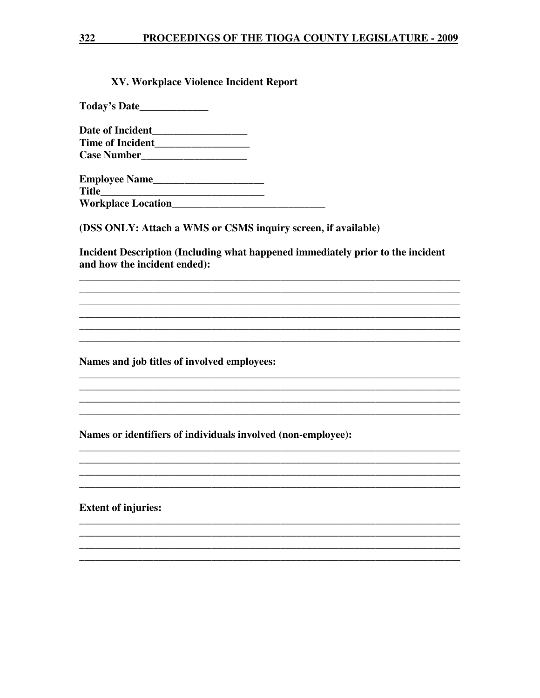#### 322 PROCEEDINGS OF THE TIOGA COUNTY LEGISLATURE - 2009

#### XV. Workplace Violence Incident Report

Today's Date\_\_\_\_\_\_\_\_\_\_\_\_\_

Case Number<br>
<u>Case Number</u>

**Title** 

(DSS ONLY: Attach a WMS or CSMS inquiry screen, if available)

Incident Description (Including what happened immediately prior to the incident and how the incident ended):

Names and job titles of involved employees:

Names or identifiers of individuals involved (non-employee):

**Extent of injuries:**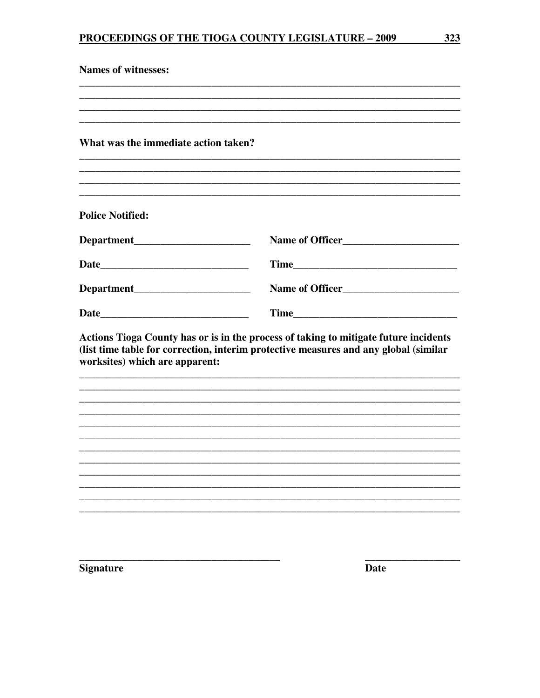| <b>Names of witnesses:</b>           |                                                                                                                                                                              |
|--------------------------------------|------------------------------------------------------------------------------------------------------------------------------------------------------------------------------|
|                                      |                                                                                                                                                                              |
| What was the immediate action taken? |                                                                                                                                                                              |
| <b>Police Notified:</b>              |                                                                                                                                                                              |
| Department                           | Name of Officer                                                                                                                                                              |
|                                      |                                                                                                                                                                              |
| Department                           | Name of Officer                                                                                                                                                              |
|                                      |                                                                                                                                                                              |
| worksites) which are apparent:       | Actions Tioga County has or is in the process of taking to mitigate future incidents<br>(list time table for correction, interim protective measures and any global (similar |
|                                      |                                                                                                                                                                              |
|                                      |                                                                                                                                                                              |
|                                      |                                                                                                                                                                              |
|                                      |                                                                                                                                                                              |
|                                      |                                                                                                                                                                              |
|                                      |                                                                                                                                                                              |
|                                      |                                                                                                                                                                              |
| <b>Signature</b>                     | <b>Date</b>                                                                                                                                                                  |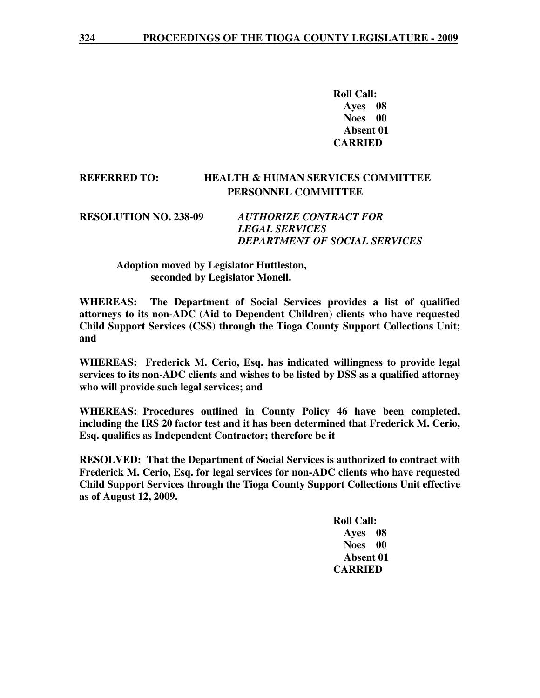**Roll Call: Ayes 08 Noes 00 Absent 01 CARRIED** 

#### **REFERRED TO: HEALTH & HUMAN SERVICES COMMITTEE PERSONNEL COMMITTEE**

**RESOLUTION NO. 238-09** *AUTHORIZE CONTRACT FOR LEGAL SERVICES DEPARTMENT OF SOCIAL SERVICES* 

#### **Adoption moved by Legislator Huttleston, seconded by Legislator Monell.**

**WHEREAS: The Department of Social Services provides a list of qualified attorneys to its non-ADC (Aid to Dependent Children) clients who have requested Child Support Services (CSS) through the Tioga County Support Collections Unit; and** 

**WHEREAS: Frederick M. Cerio, Esq. has indicated willingness to provide legal services to its non-ADC clients and wishes to be listed by DSS as a qualified attorney who will provide such legal services; and** 

**WHEREAS: Procedures outlined in County Policy 46 have been completed, including the IRS 20 factor test and it has been determined that Frederick M. Cerio, Esq. qualifies as Independent Contractor; therefore be it** 

**RESOLVED: That the Department of Social Services is authorized to contract with Frederick M. Cerio, Esq. for legal services for non-ADC clients who have requested Child Support Services through the Tioga County Support Collections Unit effective as of August 12, 2009.**

> **Roll Call: Ayes 08 Noes 00 Absent 01 CARRIED**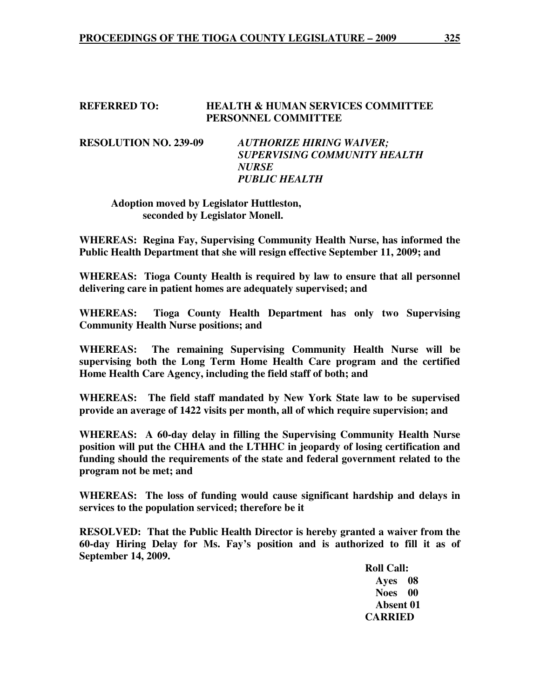#### **REFERRED TO: HEALTH & HUMAN SERVICES COMMITTEE PERSONNEL COMMITTEE**

**RESOLUTION NO. 239-09** *AUTHORIZE HIRING WAIVER; SUPERVISING COMMUNITY HEALTH NURSE PUBLIC HEALTH* 

#### **Adoption moved by Legislator Huttleston, seconded by Legislator Monell.**

**WHEREAS: Regina Fay, Supervising Community Health Nurse, has informed the Public Health Department that she will resign effective September 11, 2009; and** 

**WHEREAS: Tioga County Health is required by law to ensure that all personnel delivering care in patient homes are adequately supervised; and** 

**WHEREAS: Tioga County Health Department has only two Supervising Community Health Nurse positions; and** 

**WHEREAS: The remaining Supervising Community Health Nurse will be supervising both the Long Term Home Health Care program and the certified Home Health Care Agency, including the field staff of both; and** 

**WHEREAS: The field staff mandated by New York State law to be supervised provide an average of 1422 visits per month, all of which require supervision; and** 

**WHEREAS: A 60-day delay in filling the Supervising Community Health Nurse position will put the CHHA and the LTHHC in jeopardy of losing certification and funding should the requirements of the state and federal government related to the program not be met; and** 

**WHEREAS: The loss of funding would cause significant hardship and delays in services to the population serviced; therefore be it** 

**RESOLVED: That the Public Health Director is hereby granted a waiver from the 60-day Hiring Delay for Ms. Fay's position and is authorized to fill it as of September 14, 2009.** 

 **Roll Call: Ayes 08 Noes 00 Absent 01 CARRIED**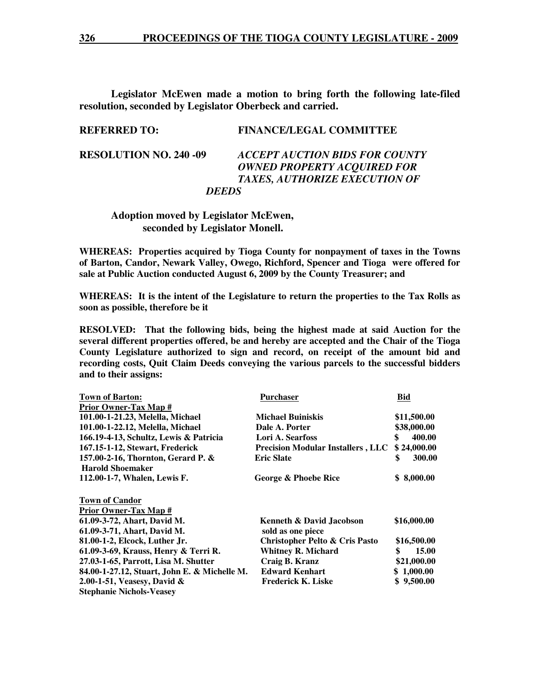**Legislator McEwen made a motion to bring forth the following late-filed resolution, seconded by Legislator Oberbeck and carried.** 

#### **REFERRED TO: FINANCE/LEGAL COMMITTEE**

**RESOLUTION NO. 240 -09** *ACCEPT AUCTION BIDS FOR COUNTY OWNED PROPERTY ACQUIRED FOR TAXES, AUTHORIZE EXECUTION OF DEEDS* 

#### **Adoption moved by Legislator McEwen, seconded by Legislator Monell.**

**WHEREAS: Properties acquired by Tioga County for nonpayment of taxes in the Towns of Barton, Candor, Newark Valley, Owego, Richford, Spencer and Tioga were offered for sale at Public Auction conducted August 6, 2009 by the County Treasurer; and** 

**WHEREAS: It is the intent of the Legislature to return the properties to the Tax Rolls as soon as possible, therefore be it** 

**RESOLVED: That the following bids, being the highest made at said Auction for the several different properties offered, be and hereby are accepted and the Chair of the Tioga County Legislature authorized to sign and record, on receipt of the amount bid and recording costs, Quit Claim Deeds conveying the various parcels to the successful bidders and to their assigns:** 

| <b>Town of Barton:</b>                       | Purchaser                                | Bid          |
|----------------------------------------------|------------------------------------------|--------------|
| Prior Owner-Tax Map #                        |                                          |              |
| 101.00-1-21.23, Melella, Michael             | <b>Michael Buiniskis</b>                 | \$11,500.00  |
| 101.00-1-22.12, Melella, Michael             | Dale A. Porter                           | \$38,000.00  |
| 166.19-4-13, Schultz, Lewis & Patricia       | Lori A. Searfoss                         | 400.00<br>\$ |
| 167.15-1-12, Stewart, Frederick              | <b>Precision Modular Installers, LLC</b> | \$24,000.00  |
| 157.00-2-16, Thornton, Gerard P. &           | <b>Eric Slate</b>                        | \$<br>300.00 |
| <b>Harold Shoemaker</b>                      |                                          |              |
| 112.00-1-7, Whalen, Lewis F.                 | George & Phoebe Rice                     | \$ 8,000.00  |
| <b>Town of Candor</b>                        |                                          |              |
| <b>Prior Owner-Tax Map #</b>                 |                                          |              |
| 61.09-3-72, Ahart, David M.                  | <b>Kenneth &amp; David Jacobson</b>      | \$16,000.00  |
| 61.09-3-71, Ahart, David M.                  | sold as one piece                        |              |
| 81.00-1-2, Elcock, Luther Jr.                | Christopher Pelto & Cris Pasto           | \$16,500.00  |
| 61.09-3-69, Krauss, Henry & Terri R.         | <b>Whitney R. Michard</b>                | 15.00<br>\$  |
| 27.03-1-65, Parrott, Lisa M. Shutter         | Craig B. Kranz                           | \$21,000.00  |
| 84.00-1-27.12, Stuart, John E. & Michelle M. | <b>Edward Kenhart</b>                    | \$1,000.00   |
| 2.00-1-51, Veasesy, David $\&$               | <b>Frederick K. Liske</b>                | \$9,500.00   |
| <b>Stephanie Nichols-Veasev</b>              |                                          |              |